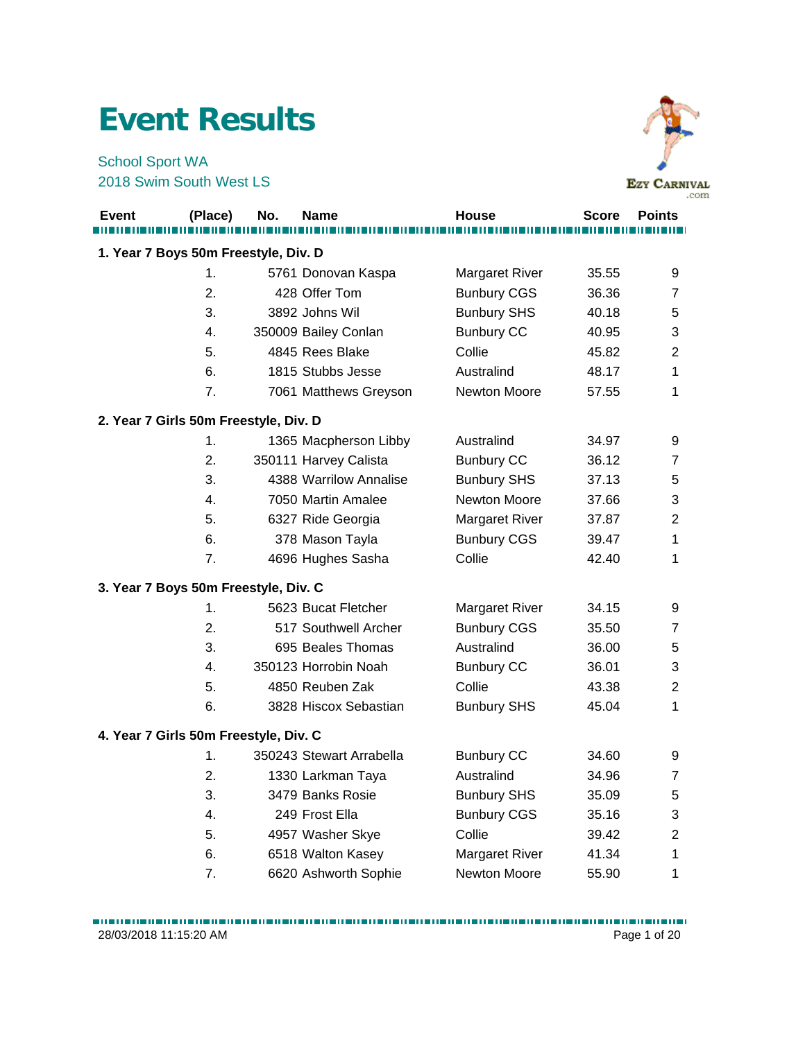## **Event Results**

School Sport WA 2018 Swim South West LS



|                                       |         |     |                          |                       |              | .com           |
|---------------------------------------|---------|-----|--------------------------|-----------------------|--------------|----------------|
| <b>Event</b>                          | (Place) | No. | <b>Name</b>              | <b>House</b>          | <b>Score</b> | <b>Points</b>  |
|                                       |         |     |                          |                       |              |                |
| 1. Year 7 Boys 50m Freestyle, Div. D  |         |     |                          |                       |              |                |
|                                       | 1.      |     | 5761 Donovan Kaspa       | <b>Margaret River</b> | 35.55        | 9              |
|                                       | 2.      |     | 428 Offer Tom            | <b>Bunbury CGS</b>    | 36.36        | 7              |
|                                       | 3.      |     | 3892 Johns Wil           | <b>Bunbury SHS</b>    | 40.18        | 5              |
|                                       | 4.      |     | 350009 Bailey Conlan     | <b>Bunbury CC</b>     | 40.95        | 3              |
|                                       | 5.      |     | 4845 Rees Blake          | Collie                | 45.82        | 2              |
|                                       | 6.      |     | 1815 Stubbs Jesse        | Australind            | 48.17        | 1              |
|                                       | 7.      |     | 7061 Matthews Greyson    | Newton Moore          | 57.55        | 1              |
| 2. Year 7 Girls 50m Freestyle, Div. D |         |     |                          |                       |              |                |
|                                       | 1.      |     | 1365 Macpherson Libby    | Australind            | 34.97        | 9              |
|                                       | 2.      |     | 350111 Harvey Calista    | <b>Bunbury CC</b>     | 36.12        | 7              |
|                                       | 3.      |     | 4388 Warrilow Annalise   | <b>Bunbury SHS</b>    | 37.13        | 5              |
|                                       | 4.      |     | 7050 Martin Amalee       | Newton Moore          | 37.66        | 3              |
|                                       | 5.      |     | 6327 Ride Georgia        | Margaret River        | 37.87        | $\overline{2}$ |
|                                       | 6.      |     | 378 Mason Tayla          | <b>Bunbury CGS</b>    | 39.47        | 1              |
|                                       | 7.      |     | 4696 Hughes Sasha        | Collie                | 42.40        | 1              |
| 3. Year 7 Boys 50m Freestyle, Div. C  |         |     |                          |                       |              |                |
|                                       | 1.      |     | 5623 Bucat Fletcher      | <b>Margaret River</b> | 34.15        | 9              |
|                                       | 2.      |     | 517 Southwell Archer     | <b>Bunbury CGS</b>    | 35.50        | $\overline{7}$ |
|                                       | 3.      |     | 695 Beales Thomas        | Australind            | 36.00        | 5              |
|                                       | 4.      |     | 350123 Horrobin Noah     | <b>Bunbury CC</b>     | 36.01        | 3              |
|                                       | 5.      |     | 4850 Reuben Zak          | Collie                | 43.38        | 2              |
|                                       | 6.      |     | 3828 Hiscox Sebastian    | <b>Bunbury SHS</b>    | 45.04        | 1              |
| 4. Year 7 Girls 50m Freestyle, Div. C |         |     |                          |                       |              |                |
|                                       | 1.      |     | 350243 Stewart Arrabella | <b>Bunbury CC</b>     | 34.60        | 9              |
|                                       | 2.      |     | 1330 Larkman Taya        | Australind            | 34.96        | 7              |
|                                       | 3.      |     | 3479 Banks Rosie         | <b>Bunbury SHS</b>    | 35.09        | 5              |
|                                       | 4.      |     | 249 Frost Ella           | <b>Bunbury CGS</b>    | 35.16        | 3              |
|                                       | 5.      |     | 4957 Washer Skye         | Collie                | 39.42        | $\overline{2}$ |
|                                       | 6.      |     | 6518 Walton Kasey        | <b>Margaret River</b> | 41.34        | 1              |

7. 6620 Ashworth Sophie Newton Moore 55.90 1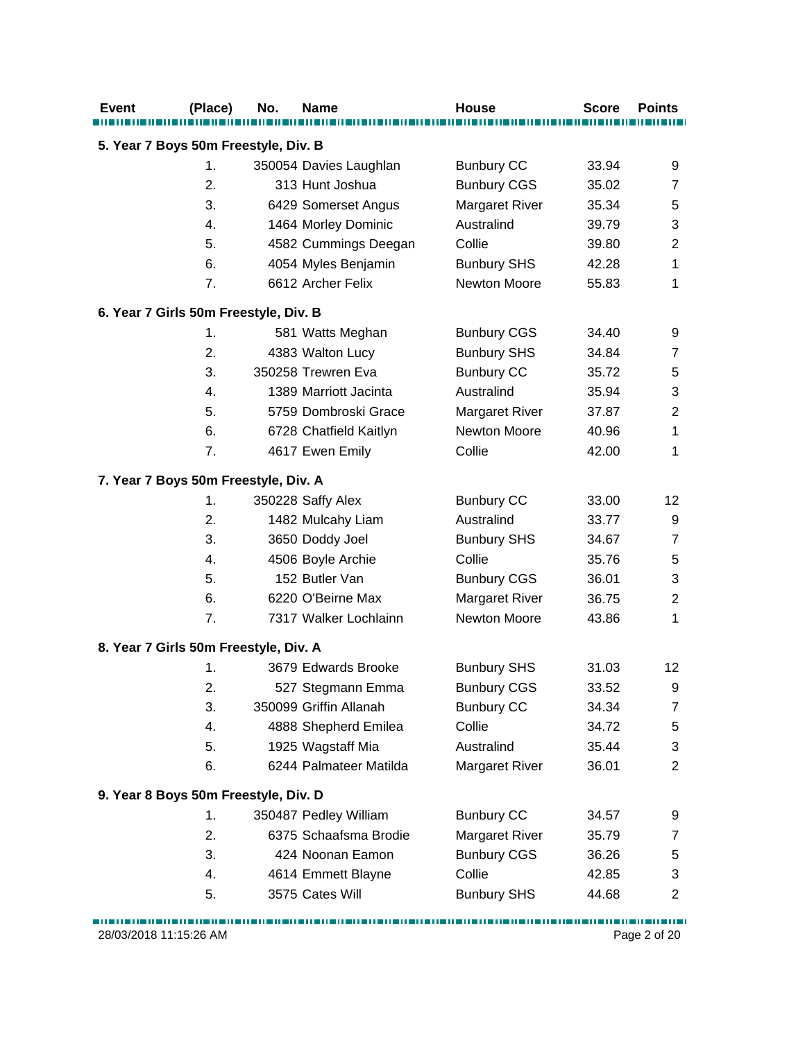| <b>Event</b>                          | (Place) | No. | <b>Name</b>            | <b>House</b>          | <b>Score</b> | <b>Points</b>    |
|---------------------------------------|---------|-----|------------------------|-----------------------|--------------|------------------|
| 5. Year 7 Boys 50m Freestyle, Div. B  |         |     |                        |                       |              |                  |
|                                       | 1.      |     | 350054 Davies Laughlan | <b>Bunbury CC</b>     | 33.94        | 9                |
|                                       | 2.      |     | 313 Hunt Joshua        | <b>Bunbury CGS</b>    | 35.02        | $\overline{7}$   |
|                                       | 3.      |     | 6429 Somerset Angus    | <b>Margaret River</b> | 35.34        | 5                |
|                                       | 4.      |     | 1464 Morley Dominic    | Australind            | 39.79        | 3                |
|                                       | 5.      |     | 4582 Cummings Deegan   | Collie                | 39.80        | $\overline{2}$   |
|                                       | 6.      |     | 4054 Myles Benjamin    | <b>Bunbury SHS</b>    | 42.28        | 1                |
|                                       | 7.      |     | 6612 Archer Felix      | <b>Newton Moore</b>   | 55.83        | 1                |
| 6. Year 7 Girls 50m Freestyle, Div. B |         |     |                        |                       |              |                  |
|                                       | 1.      |     | 581 Watts Meghan       | <b>Bunbury CGS</b>    | 34.40        | 9                |
|                                       | 2.      |     | 4383 Walton Lucy       | <b>Bunbury SHS</b>    | 34.84        | $\overline{7}$   |
|                                       | 3.      |     | 350258 Trewren Eva     | <b>Bunbury CC</b>     | 35.72        | 5                |
|                                       | 4.      |     | 1389 Marriott Jacinta  | Australind            | 35.94        | 3                |
|                                       | 5.      |     | 5759 Dombroski Grace   | <b>Margaret River</b> | 37.87        | $\boldsymbol{2}$ |
|                                       | 6.      |     | 6728 Chatfield Kaitlyn | <b>Newton Moore</b>   | 40.96        | 1                |
|                                       | 7.      |     | 4617 Ewen Emily        | Collie                | 42.00        | 1                |
| 7. Year 7 Boys 50m Freestyle, Div. A  |         |     |                        |                       |              |                  |
|                                       | 1.      |     | 350228 Saffy Alex      | <b>Bunbury CC</b>     | 33.00        | 12               |
|                                       | 2.      |     | 1482 Mulcahy Liam      | Australind            | 33.77        | $\boldsymbol{9}$ |
|                                       | 3.      |     | 3650 Doddy Joel        | <b>Bunbury SHS</b>    | 34.67        | $\overline{7}$   |
|                                       | 4.      |     | 4506 Boyle Archie      | Collie                | 35.76        | 5                |
|                                       | 5.      |     | 152 Butler Van         | <b>Bunbury CGS</b>    | 36.01        | 3                |
|                                       | 6.      |     | 6220 O'Beirne Max      | <b>Margaret River</b> | 36.75        | $\overline{2}$   |
|                                       | 7.      |     | 7317 Walker Lochlainn  | Newton Moore          | 43.86        | 1                |
| 8. Year 7 Girls 50m Freestyle, Div. A |         |     |                        |                       |              |                  |
|                                       | 1.      |     | 3679 Edwards Brooke    | <b>Bunbury SHS</b>    | 31.03        | 12               |
|                                       | 2.      |     | 527 Stegmann Emma      | <b>Bunbury CGS</b>    | 33.52        | 9                |
|                                       | 3.      |     | 350099 Griffin Allanah | <b>Bunbury CC</b>     | 34.34        | $\overline{7}$   |
|                                       | 4.      |     | 4888 Shepherd Emilea   | Collie                | 34.72        | 5                |
|                                       | 5.      |     | 1925 Wagstaff Mia      | Australind            | 35.44        | 3                |
|                                       | 6.      |     | 6244 Palmateer Matilda | <b>Margaret River</b> | 36.01        | $\overline{2}$   |
| 9. Year 8 Boys 50m Freestyle, Div. D  |         |     |                        |                       |              |                  |
|                                       | 1.      |     | 350487 Pedley William  | <b>Bunbury CC</b>     | 34.57        | 9                |
|                                       | 2.      |     | 6375 Schaafsma Brodie  | <b>Margaret River</b> | 35.79        | 7                |
|                                       | 3.      |     | 424 Noonan Eamon       | <b>Bunbury CGS</b>    | 36.26        | 5                |
|                                       | 4.      |     | 4614 Emmett Blayne     | Collie                | 42.85        | 3                |
|                                       | 5.      |     | 3575 Cates Will        | <b>Bunbury SHS</b>    | 44.68        | $\overline{c}$   |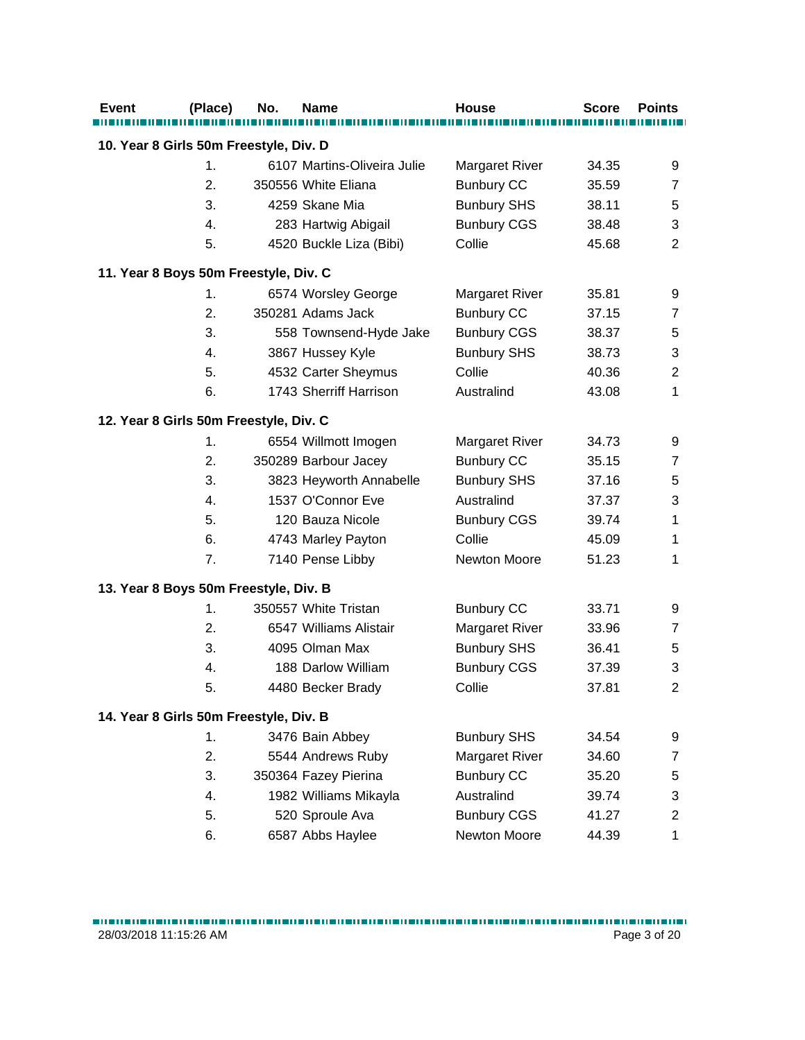| <b>Event</b>                           | (Place) | No. | <b>Name</b>                 | <b>House</b>          | <b>Score</b> | <b>Points</b>  |
|----------------------------------------|---------|-----|-----------------------------|-----------------------|--------------|----------------|
| 10. Year 8 Girls 50m Freestyle, Div. D |         |     |                             |                       |              |                |
|                                        | 1.      |     | 6107 Martins-Oliveira Julie | <b>Margaret River</b> | 34.35        | 9              |
|                                        | 2.      |     | 350556 White Eliana         | <b>Bunbury CC</b>     | 35.59        | $\overline{7}$ |
|                                        | 3.      |     | 4259 Skane Mia              | <b>Bunbury SHS</b>    | 38.11        | $\,$ 5 $\,$    |
|                                        | 4.      |     | 283 Hartwig Abigail         | <b>Bunbury CGS</b>    | 38.48        | 3              |
|                                        | 5.      |     | 4520 Buckle Liza (Bibi)     | Collie                | 45.68        | 2              |
|                                        |         |     |                             |                       |              |                |
| 11. Year 8 Boys 50m Freestyle, Div. C  |         |     |                             |                       |              |                |
|                                        | 1.      |     | 6574 Worsley George         | <b>Margaret River</b> | 35.81        | 9              |
|                                        | 2.      |     | 350281 Adams Jack           | <b>Bunbury CC</b>     | 37.15        | $\overline{7}$ |
|                                        | 3.      |     | 558 Townsend-Hyde Jake      | <b>Bunbury CGS</b>    | 38.37        | 5              |
|                                        | 4.      |     | 3867 Hussey Kyle            | <b>Bunbury SHS</b>    | 38.73        | 3              |
|                                        | 5.      |     | 4532 Carter Sheymus         | Collie                | 40.36        | $\overline{2}$ |
|                                        | 6.      |     | 1743 Sherriff Harrison      | Australind            | 43.08        | 1              |
| 12. Year 8 Girls 50m Freestyle, Div. C |         |     |                             |                       |              |                |
|                                        | 1.      |     | 6554 Willmott Imogen        | <b>Margaret River</b> | 34.73        | 9              |
|                                        | 2.      |     | 350289 Barbour Jacey        | <b>Bunbury CC</b>     | 35.15        | $\overline{7}$ |
|                                        | 3.      |     | 3823 Heyworth Annabelle     | <b>Bunbury SHS</b>    | 37.16        | $\,$ 5 $\,$    |
|                                        | 4.      |     | 1537 O'Connor Eve           | Australind            | 37.37        | 3              |
|                                        | 5.      |     | 120 Bauza Nicole            | <b>Bunbury CGS</b>    | 39.74        | 1              |
|                                        | 6.      |     | 4743 Marley Payton          | Collie                | 45.09        | 1              |
|                                        | 7.      |     | 7140 Pense Libby            | Newton Moore          | 51.23        | 1              |
| 13. Year 8 Boys 50m Freestyle, Div. B  |         |     |                             |                       |              |                |
|                                        | 1.      |     | 350557 White Tristan        | <b>Bunbury CC</b>     | 33.71        | 9              |
|                                        | 2.      |     | 6547 Williams Alistair      | Margaret River        | 33.96        | $\overline{7}$ |
|                                        | 3.      |     | 4095 Olman Max              | <b>Bunbury SHS</b>    | 36.41        | 5              |
|                                        | 4.      |     | 188 Darlow William          | <b>Bunbury CGS</b>    | 37.39        | 3              |
|                                        | 5.      |     | 4480 Becker Brady           | Collie                | 37.81        | $\overline{2}$ |
| 14. Year 8 Girls 50m Freestyle, Div. B |         |     |                             |                       |              |                |
|                                        | 1.      |     | 3476 Bain Abbey             | <b>Bunbury SHS</b>    | 34.54        | 9              |
|                                        | 2.      |     | 5544 Andrews Ruby           | <b>Margaret River</b> | 34.60        | $\overline{7}$ |
|                                        | 3.      |     | 350364 Fazey Pierina        | <b>Bunbury CC</b>     | 35.20        | $\,$ 5 $\,$    |
|                                        | 4.      |     | 1982 Williams Mikayla       | Australind            | 39.74        | 3              |
|                                        | 5.      |     | 520 Sproule Ava             | <b>Bunbury CGS</b>    | 41.27        | $\overline{c}$ |
|                                        | 6.      |     | 6587 Abbs Haylee            | Newton Moore          | 44.39        | 1              |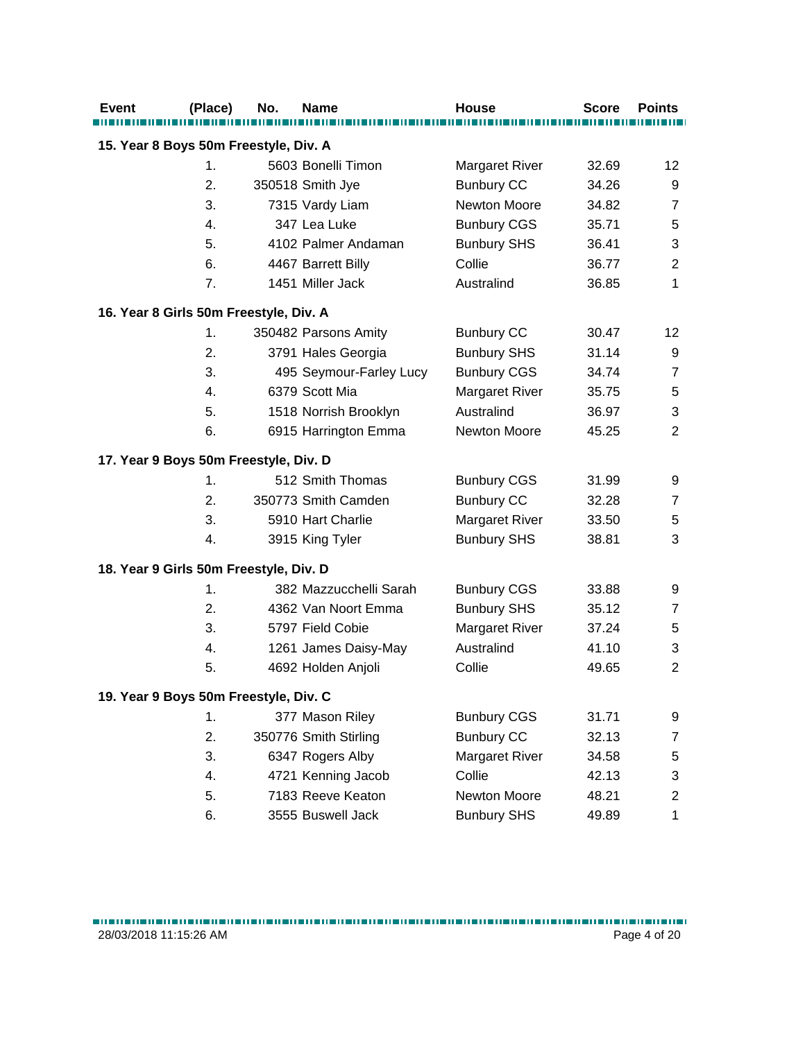| <b>Event</b>                           | (Place) | No. | <b>Name</b>             | <b>House</b>          | <b>Score</b> | <b>Points</b>  |
|----------------------------------------|---------|-----|-------------------------|-----------------------|--------------|----------------|
| 15. Year 8 Boys 50m Freestyle, Div. A  |         |     |                         |                       |              |                |
|                                        | 1.      |     | 5603 Bonelli Timon      | <b>Margaret River</b> | 32.69        | 12             |
|                                        | 2.      |     | 350518 Smith Jye        | <b>Bunbury CC</b>     | 34.26        | 9              |
|                                        | 3.      |     | 7315 Vardy Liam         | Newton Moore          | 34.82        | $\overline{7}$ |
|                                        | 4.      |     | 347 Lea Luke            | <b>Bunbury CGS</b>    | 35.71        | 5              |
|                                        | 5.      |     | 4102 Palmer Andaman     | <b>Bunbury SHS</b>    | 36.41        | 3              |
|                                        | 6.      |     | 4467 Barrett Billy      | Collie                | 36.77        | $\overline{2}$ |
|                                        | 7.      |     | 1451 Miller Jack        | Australind            | 36.85        | $\mathbf{1}$   |
| 16. Year 8 Girls 50m Freestyle, Div. A |         |     |                         |                       |              |                |
|                                        | 1.      |     | 350482 Parsons Amity    | <b>Bunbury CC</b>     | 30.47        | 12             |
|                                        | 2.      |     | 3791 Hales Georgia      | <b>Bunbury SHS</b>    | 31.14        | 9              |
|                                        | 3.      |     | 495 Seymour-Farley Lucy | <b>Bunbury CGS</b>    | 34.74        | $\overline{7}$ |
|                                        | 4.      |     | 6379 Scott Mia          | Margaret River        | 35.75        | 5              |
|                                        | 5.      |     | 1518 Norrish Brooklyn   | Australind            | 36.97        | 3              |
|                                        | 6.      |     | 6915 Harrington Emma    | <b>Newton Moore</b>   | 45.25        | $\overline{2}$ |
| 17. Year 9 Boys 50m Freestyle, Div. D  |         |     |                         |                       |              |                |
|                                        | 1.      |     | 512 Smith Thomas        | <b>Bunbury CGS</b>    | 31.99        | 9              |
|                                        | 2.      |     | 350773 Smith Camden     | <b>Bunbury CC</b>     | 32.28        | $\overline{7}$ |
|                                        | 3.      |     | 5910 Hart Charlie       | Margaret River        | 33.50        | 5              |
|                                        | 4.      |     | 3915 King Tyler         | <b>Bunbury SHS</b>    | 38.81        | 3              |
| 18. Year 9 Girls 50m Freestyle, Div. D |         |     |                         |                       |              |                |
|                                        | 1.      |     | 382 Mazzucchelli Sarah  | <b>Bunbury CGS</b>    | 33.88        | 9              |
|                                        | 2.      |     | 4362 Van Noort Emma     | <b>Bunbury SHS</b>    | 35.12        | $\overline{7}$ |
|                                        | 3.      |     | 5797 Field Cobie        | <b>Margaret River</b> | 37.24        | 5              |
|                                        | 4.      |     | 1261 James Daisy-May    | Australind            | 41.10        | 3              |
|                                        | 5.      |     | 4692 Holden Anjoli      | Collie                | 49.65        | $\overline{2}$ |
| 19. Year 9 Boys 50m Freestyle, Div. C  |         |     |                         |                       |              |                |
|                                        | 1.      |     | 377 Mason Riley         | <b>Bunbury CGS</b>    | 31.71        | 9              |
|                                        | 2.      |     | 350776 Smith Stirling   | <b>Bunbury CC</b>     | 32.13        | $\overline{7}$ |
|                                        | 3.      |     | 6347 Rogers Alby        | <b>Margaret River</b> | 34.58        | 5              |
|                                        | 4.      |     | 4721 Kenning Jacob      | Collie                | 42.13        | 3              |
|                                        | 5.      |     | 7183 Reeve Keaton       | Newton Moore          | 48.21        | $\overline{2}$ |
|                                        | 6.      |     | 3555 Buswell Jack       | <b>Bunbury SHS</b>    | 49.89        | $\mathbf 1$    |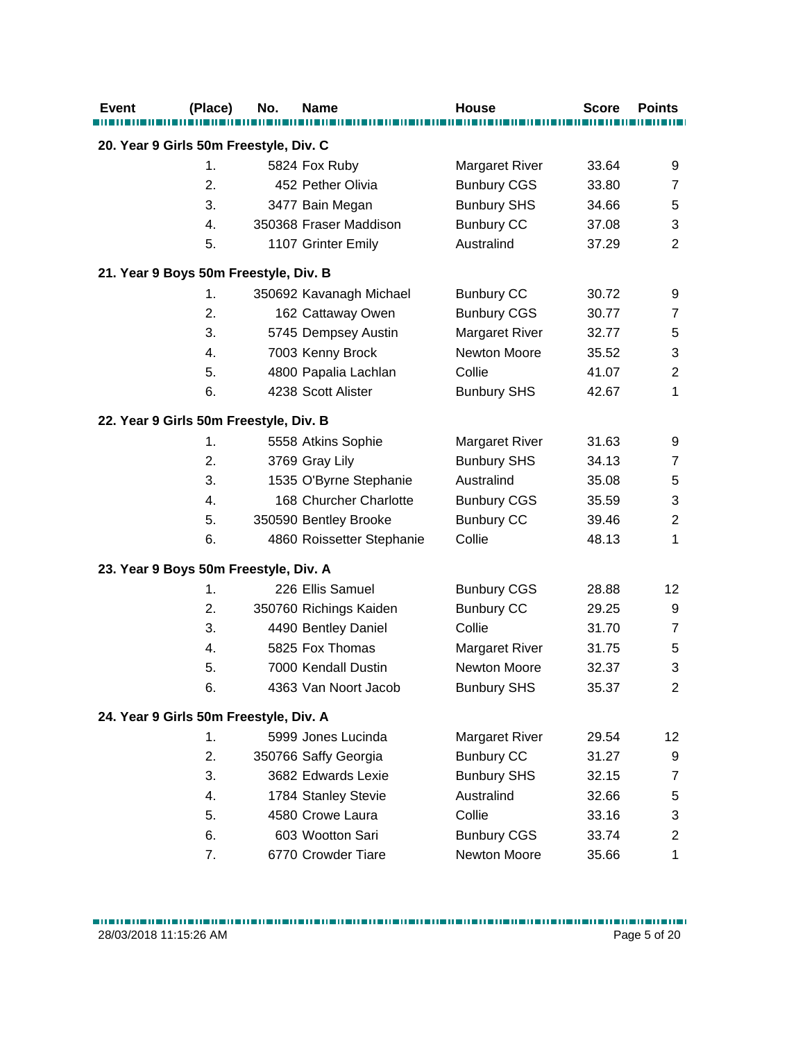| <b>Event</b>                           | (Place) | No. | <b>Name</b>               | <b>House</b>          | <b>Score</b> | <b>Points</b>  |
|----------------------------------------|---------|-----|---------------------------|-----------------------|--------------|----------------|
|                                        |         |     |                           |                       |              |                |
| 20. Year 9 Girls 50m Freestyle, Div. C |         |     |                           |                       |              |                |
|                                        | 1.      |     | 5824 Fox Ruby             | <b>Margaret River</b> | 33.64        | 9              |
|                                        | 2.      |     | 452 Pether Olivia         | <b>Bunbury CGS</b>    | 33.80        | $\overline{7}$ |
|                                        | 3.      |     | 3477 Bain Megan           | <b>Bunbury SHS</b>    | 34.66        | 5              |
|                                        | 4.      |     | 350368 Fraser Maddison    | <b>Bunbury CC</b>     | 37.08        | 3              |
|                                        | 5.      |     | 1107 Grinter Emily        | Australind            | 37.29        | $\overline{2}$ |
| 21. Year 9 Boys 50m Freestyle, Div. B  |         |     |                           |                       |              |                |
|                                        | 1.      |     | 350692 Kavanagh Michael   | <b>Bunbury CC</b>     | 30.72        | 9              |
|                                        | 2.      |     | 162 Cattaway Owen         | <b>Bunbury CGS</b>    | 30.77        | $\overline{7}$ |
|                                        | 3.      |     | 5745 Dempsey Austin       | <b>Margaret River</b> | 32.77        | 5              |
|                                        | 4.      |     | 7003 Kenny Brock          | Newton Moore          | 35.52        | 3              |
|                                        | 5.      |     | 4800 Papalia Lachlan      | Collie                | 41.07        | $\overline{2}$ |
|                                        | 6.      |     | 4238 Scott Alister        | <b>Bunbury SHS</b>    | 42.67        | 1              |
| 22. Year 9 Girls 50m Freestyle, Div. B |         |     |                           |                       |              |                |
|                                        | 1.      |     | 5558 Atkins Sophie        | <b>Margaret River</b> | 31.63        | 9              |
|                                        | 2.      |     | 3769 Gray Lily            | <b>Bunbury SHS</b>    | 34.13        | $\overline{7}$ |
|                                        | 3.      |     | 1535 O'Byrne Stephanie    | Australind            | 35.08        | 5              |
|                                        | 4.      |     | 168 Churcher Charlotte    | <b>Bunbury CGS</b>    | 35.59        | 3              |
|                                        | 5.      |     | 350590 Bentley Brooke     | <b>Bunbury CC</b>     | 39.46        | $\overline{2}$ |
|                                        | 6.      |     | 4860 Roissetter Stephanie | Collie                | 48.13        | 1              |
| 23. Year 9 Boys 50m Freestyle, Div. A  |         |     |                           |                       |              |                |
|                                        | 1.      |     | 226 Ellis Samuel          | <b>Bunbury CGS</b>    | 28.88        | 12             |
|                                        | 2.      |     | 350760 Richings Kaiden    | <b>Bunbury CC</b>     | 29.25        | 9              |
|                                        | 3.      |     | 4490 Bentley Daniel       | Collie                | 31.70        | $\overline{7}$ |
|                                        | 4.      |     | 5825 Fox Thomas           | Margaret River        | 31.75        | 5              |
|                                        | 5.      |     | 7000 Kendall Dustin       | <b>Newton Moore</b>   | 32.37        | 3              |
|                                        | 6.      |     | 4363 Van Noort Jacob      | <b>Bunbury SHS</b>    | 35.37        | $\overline{2}$ |
| 24. Year 9 Girls 50m Freestyle, Div. A |         |     |                           |                       |              |                |
|                                        | 1.      |     | 5999 Jones Lucinda        | <b>Margaret River</b> | 29.54        | 12             |
|                                        | 2.      |     | 350766 Saffy Georgia      | <b>Bunbury CC</b>     | 31.27        | 9              |
|                                        | 3.      |     | 3682 Edwards Lexie        | <b>Bunbury SHS</b>    | 32.15        | 7              |
|                                        | 4.      |     | 1784 Stanley Stevie       | Australind            | 32.66        | 5              |
|                                        | 5.      |     | 4580 Crowe Laura          | Collie                | 33.16        | 3              |
|                                        | 6.      |     | 603 Wootton Sari          | <b>Bunbury CGS</b>    | 33.74        | $\overline{2}$ |
|                                        | 7.      |     | 6770 Crowder Tiare        | Newton Moore          | 35.66        | $\mathbf 1$    |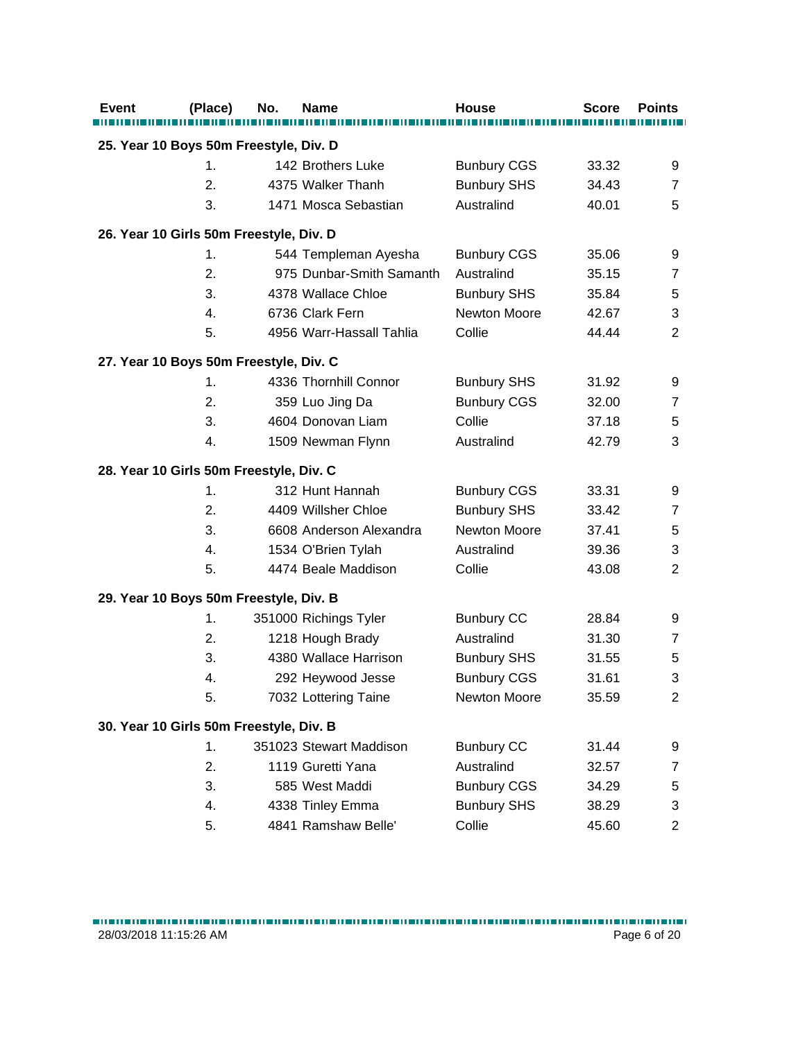| <b>Event</b>                            | (Place) | No. | <b>Name</b>              | <b>House</b>       | <b>Score</b> | <b>Points</b>    |
|-----------------------------------------|---------|-----|--------------------------|--------------------|--------------|------------------|
|                                         |         |     |                          |                    |              |                  |
| 25. Year 10 Boys 50m Freestyle, Div. D  |         |     |                          |                    |              |                  |
|                                         | 1.      |     | 142 Brothers Luke        | <b>Bunbury CGS</b> | 33.32        | 9                |
|                                         | 2.      |     | 4375 Walker Thanh        | <b>Bunbury SHS</b> | 34.43        | $\overline{7}$   |
|                                         | 3.      |     | 1471 Mosca Sebastian     | Australind         | 40.01        | 5                |
| 26. Year 10 Girls 50m Freestyle, Div. D |         |     |                          |                    |              |                  |
|                                         | 1.      |     | 544 Templeman Ayesha     | <b>Bunbury CGS</b> | 35.06        | 9                |
|                                         | 2.      |     | 975 Dunbar-Smith Samanth | Australind         | 35.15        | $\overline{7}$   |
|                                         | 3.      |     | 4378 Wallace Chloe       | <b>Bunbury SHS</b> | 35.84        | 5                |
|                                         | 4.      |     | 6736 Clark Fern          | Newton Moore       | 42.67        | 3                |
|                                         | 5.      |     | 4956 Warr-Hassall Tahlia | Collie             | 44.44        | $\overline{2}$   |
| 27. Year 10 Boys 50m Freestyle, Div. C  |         |     |                          |                    |              |                  |
|                                         | 1.      |     | 4336 Thornhill Connor    | <b>Bunbury SHS</b> | 31.92        | 9                |
|                                         | 2.      |     | 359 Luo Jing Da          | <b>Bunbury CGS</b> | 32.00        | $\overline{7}$   |
|                                         | 3.      |     | 4604 Donovan Liam        | Collie             | 37.18        | 5                |
|                                         | 4.      |     | 1509 Newman Flynn        | Australind         | 42.79        | 3                |
| 28. Year 10 Girls 50m Freestyle, Div. C |         |     |                          |                    |              |                  |
|                                         | 1.      |     | 312 Hunt Hannah          | <b>Bunbury CGS</b> | 33.31        | 9                |
|                                         | 2.      |     | 4409 Willsher Chloe      | <b>Bunbury SHS</b> | 33.42        | $\overline{7}$   |
|                                         | 3.      |     | 6608 Anderson Alexandra  | Newton Moore       | 37.41        | 5                |
|                                         | 4.      |     | 1534 O'Brien Tylah       | Australind         | 39.36        | 3                |
|                                         | 5.      |     | 4474 Beale Maddison      | Collie             | 43.08        | $\overline{2}$   |
| 29. Year 10 Boys 50m Freestyle, Div. B  |         |     |                          |                    |              |                  |
|                                         | 1.      |     | 351000 Richings Tyler    | <b>Bunbury CC</b>  | 28.84        | 9                |
|                                         | 2.      |     | 1218 Hough Brady         | Australind         | 31.30        | $\overline{7}$   |
|                                         | 3.      |     | 4380 Wallace Harrison    | <b>Bunbury SHS</b> | 31.55        | 5                |
|                                         | 4.      |     | 292 Heywood Jesse        | <b>Bunbury CGS</b> | 31.61        | 3                |
|                                         | 5.      |     | 7032 Lottering Taine     | Newton Moore       | 35.59        | $\overline{2}$   |
| 30. Year 10 Girls 50m Freestyle, Div. B |         |     |                          |                    |              |                  |
|                                         | 1.      |     | 351023 Stewart Maddison  | <b>Bunbury CC</b>  | 31.44        | 9                |
|                                         | 2.      |     | 1119 Guretti Yana        | Australind         | 32.57        | $\boldsymbol{7}$ |
|                                         | 3.      |     | 585 West Maddi           | <b>Bunbury CGS</b> | 34.29        | 5                |
|                                         | 4.      |     | 4338 Tinley Emma         | <b>Bunbury SHS</b> | 38.29        | 3                |
|                                         | 5.      |     | 4841 Ramshaw Belle'      | Collie             | 45.60        | $\overline{c}$   |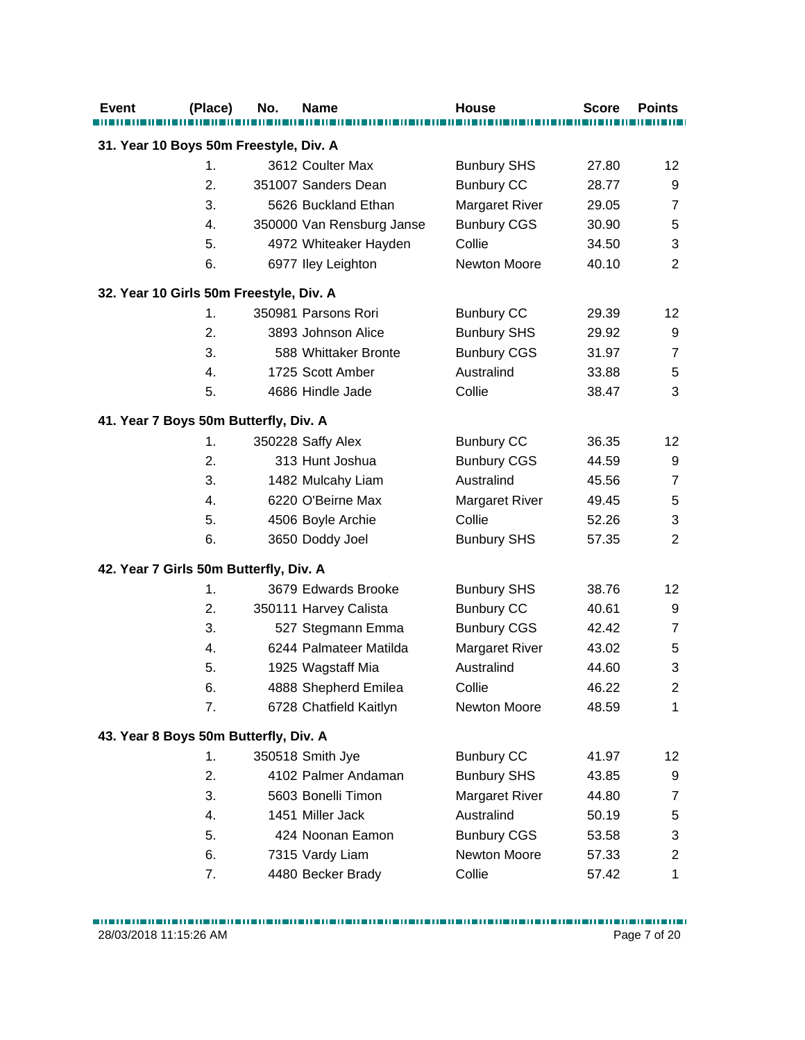| <b>Event</b>                            | (Place)        | No. | <b>Name</b>               | <b>House</b>          | <b>Score</b> | <b>Points</b>     |
|-----------------------------------------|----------------|-----|---------------------------|-----------------------|--------------|-------------------|
| 31. Year 10 Boys 50m Freestyle, Div. A  |                |     |                           |                       |              |                   |
|                                         | 1.             |     | 3612 Coulter Max          | <b>Bunbury SHS</b>    | 27.80        | 12                |
|                                         | 2.             |     | 351007 Sanders Dean       | <b>Bunbury CC</b>     | 28.77        | 9                 |
|                                         | 3.             |     | 5626 Buckland Ethan       | <b>Margaret River</b> | 29.05        | $\overline{7}$    |
|                                         | 4.             |     | 350000 Van Rensburg Janse | <b>Bunbury CGS</b>    | 30.90        | 5                 |
|                                         | 5.             |     | 4972 Whiteaker Hayden     | Collie                | 34.50        | 3                 |
|                                         | 6.             |     | 6977 Iley Leighton        | Newton Moore          | 40.10        | $\overline{2}$    |
| 32. Year 10 Girls 50m Freestyle, Div. A |                |     |                           |                       |              |                   |
|                                         | $\mathbf{1}$ . |     | 350981 Parsons Rori       | <b>Bunbury CC</b>     | 29.39        | $12 \overline{ }$ |
|                                         | 2.             |     | 3893 Johnson Alice        | <b>Bunbury SHS</b>    | 29.92        | 9                 |
|                                         | 3.             |     | 588 Whittaker Bronte      | <b>Bunbury CGS</b>    | 31.97        | $\overline{7}$    |
|                                         | 4.             |     | 1725 Scott Amber          | Australind            | 33.88        | 5                 |
|                                         | 5.             |     | 4686 Hindle Jade          | Collie                | 38.47        | 3                 |
| 41. Year 7 Boys 50m Butterfly, Div. A   |                |     |                           |                       |              |                   |
|                                         | $\mathbf{1}$ . |     | 350228 Saffy Alex         | <b>Bunbury CC</b>     | 36.35        | $12 \overline{ }$ |
|                                         | 2.             |     | 313 Hunt Joshua           | <b>Bunbury CGS</b>    | 44.59        | 9                 |
|                                         | 3.             |     | 1482 Mulcahy Liam         | Australind            | 45.56        | $\overline{7}$    |
|                                         | 4.             |     | 6220 O'Beirne Max         | <b>Margaret River</b> | 49.45        | $\,$ 5 $\,$       |
|                                         | 5.             |     | 4506 Boyle Archie         | Collie                | 52.26        | 3                 |
|                                         | 6.             |     | 3650 Doddy Joel           | <b>Bunbury SHS</b>    | 57.35        | $\overline{2}$    |
| 42. Year 7 Girls 50m Butterfly, Div. A  |                |     |                           |                       |              |                   |
|                                         | 1.             |     | 3679 Edwards Brooke       | <b>Bunbury SHS</b>    | 38.76        | 12                |
|                                         | 2.             |     | 350111 Harvey Calista     | <b>Bunbury CC</b>     | 40.61        | 9                 |
|                                         | 3.             |     | 527 Stegmann Emma         | <b>Bunbury CGS</b>    | 42.42        | $\overline{7}$    |
|                                         | 4.             |     | 6244 Palmateer Matilda    | <b>Margaret River</b> | 43.02        | 5                 |
|                                         | 5.             |     | 1925 Wagstaff Mia         | Australind            | 44.60        | 3                 |
|                                         | 6.             |     | 4888 Shepherd Emilea      | Collie                | 46.22        | $\overline{2}$    |
|                                         | 7.             |     | 6728 Chatfield Kaitlyn    | Newton Moore          | 48.59        | $\mathbf{1}$      |
| 43. Year 8 Boys 50m Butterfly, Div. A   |                |     |                           |                       |              |                   |
|                                         | 1.             |     | 350518 Smith Jye          | <b>Bunbury CC</b>     | 41.97        | 12                |
|                                         | 2.             |     | 4102 Palmer Andaman       | <b>Bunbury SHS</b>    | 43.85        | 9                 |
|                                         | 3.             |     | 5603 Bonelli Timon        | <b>Margaret River</b> | 44.80        | $\overline{7}$    |
|                                         | 4.             |     | 1451 Miller Jack          | Australind            | 50.19        | 5                 |
|                                         | 5.             |     | 424 Noonan Eamon          | <b>Bunbury CGS</b>    | 53.58        | 3                 |
|                                         | 6.             |     | 7315 Vardy Liam           | Newton Moore          | 57.33        | $\overline{c}$    |
|                                         | 7.             |     | 4480 Becker Brady         | Collie                | 57.42        | $\mathbf 1$       |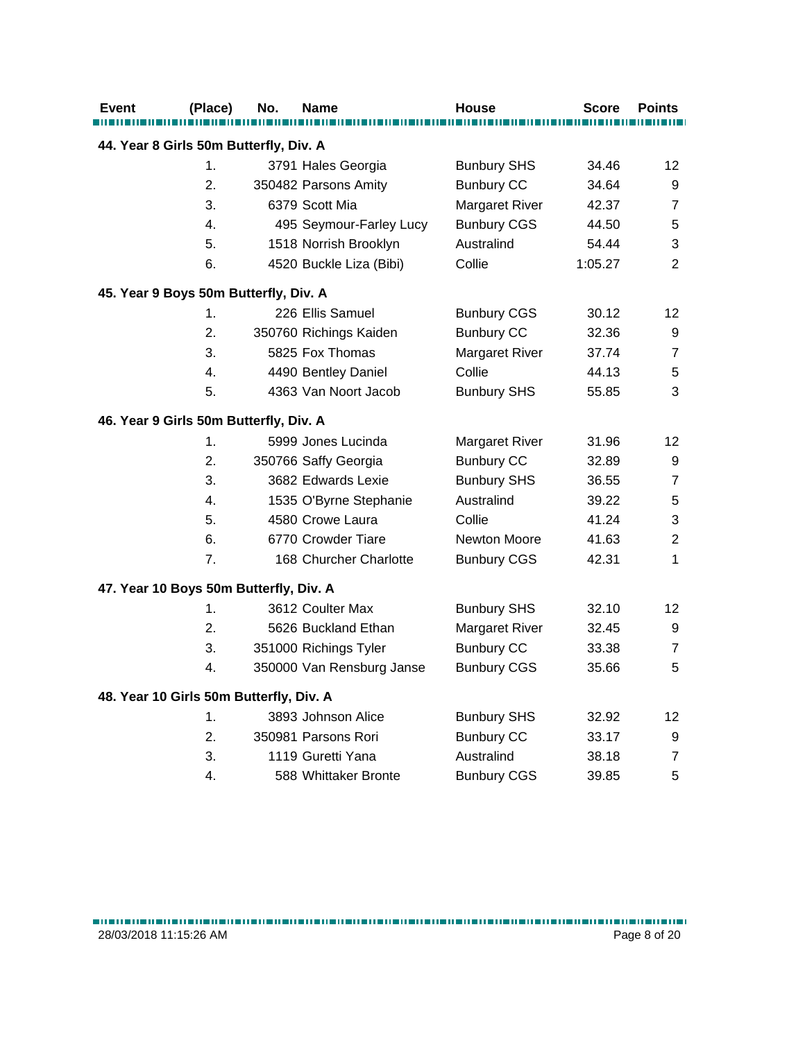| Event | (Place)                                 | No. | Name                      | <b>House</b>          | Score   | <b>Points</b>  |
|-------|-----------------------------------------|-----|---------------------------|-----------------------|---------|----------------|
|       | 44. Year 8 Girls 50m Butterfly, Div. A  |     |                           |                       |         |                |
|       | 1.                                      |     | 3791 Hales Georgia        | <b>Bunbury SHS</b>    | 34.46   | 12             |
|       | 2.                                      |     | 350482 Parsons Amity      | <b>Bunbury CC</b>     | 34.64   | 9              |
|       | 3.                                      |     | 6379 Scott Mia            | <b>Margaret River</b> | 42.37   | $\overline{7}$ |
|       | 4.                                      |     | 495 Seymour-Farley Lucy   | <b>Bunbury CGS</b>    | 44.50   | 5              |
|       | 5.                                      |     | 1518 Norrish Brooklyn     | Australind            | 54.44   | 3              |
|       | 6.                                      |     | 4520 Buckle Liza (Bibi)   | Collie                | 1:05.27 | 2              |
|       | 45. Year 9 Boys 50m Butterfly, Div. A   |     |                           |                       |         |                |
|       | 1.                                      |     | 226 Ellis Samuel          | <b>Bunbury CGS</b>    | 30.12   | 12             |
|       | 2.                                      |     | 350760 Richings Kaiden    | <b>Bunbury CC</b>     | 32.36   | 9              |
|       | 3.                                      |     | 5825 Fox Thomas           | Margaret River        | 37.74   | $\overline{7}$ |
|       | 4.                                      |     | 4490 Bentley Daniel       | Collie                | 44.13   | 5              |
|       | 5.                                      |     | 4363 Van Noort Jacob      | <b>Bunbury SHS</b>    | 55.85   | 3              |
|       | 46. Year 9 Girls 50m Butterfly, Div. A  |     |                           |                       |         |                |
|       | 1.                                      |     | 5999 Jones Lucinda        | <b>Margaret River</b> | 31.96   | 12             |
|       | 2.                                      |     | 350766 Saffy Georgia      | <b>Bunbury CC</b>     | 32.89   | 9              |
|       | 3.                                      |     | 3682 Edwards Lexie        | <b>Bunbury SHS</b>    | 36.55   | $\overline{7}$ |
|       | 4.                                      |     | 1535 O'Byrne Stephanie    | Australind            | 39.22   | 5              |
|       | 5.                                      |     | 4580 Crowe Laura          | Collie                | 41.24   | 3              |
|       | 6.                                      |     | 6770 Crowder Tiare        | Newton Moore          | 41.63   | $\overline{2}$ |
|       | 7 <sub>1</sub>                          |     | 168 Churcher Charlotte    | <b>Bunbury CGS</b>    | 42.31   | 1              |
|       | 47. Year 10 Boys 50m Butterfly, Div. A  |     |                           |                       |         |                |
|       | 1.                                      |     | 3612 Coulter Max          | <b>Bunbury SHS</b>    | 32.10   | 12             |
|       | 2.                                      |     | 5626 Buckland Ethan       | <b>Margaret River</b> | 32.45   | 9              |
|       | 3.                                      |     | 351000 Richings Tyler     | <b>Bunbury CC</b>     | 33.38   | $\overline{7}$ |
|       | 4.                                      |     | 350000 Van Rensburg Janse | <b>Bunbury CGS</b>    | 35.66   | 5              |
|       | 48. Year 10 Girls 50m Butterfly, Div. A |     |                           |                       |         |                |
|       | 1.                                      |     | 3893 Johnson Alice        | <b>Bunbury SHS</b>    | 32.92   | 12             |
|       | 2.                                      |     | 350981 Parsons Rori       | <b>Bunbury CC</b>     | 33.17   | 9              |
|       | 3.                                      |     | 1119 Guretti Yana         | Australind            | 38.18   | $\overline{7}$ |
|       | 4.                                      |     | 588 Whittaker Bronte      | <b>Bunbury CGS</b>    | 39.85   | 5              |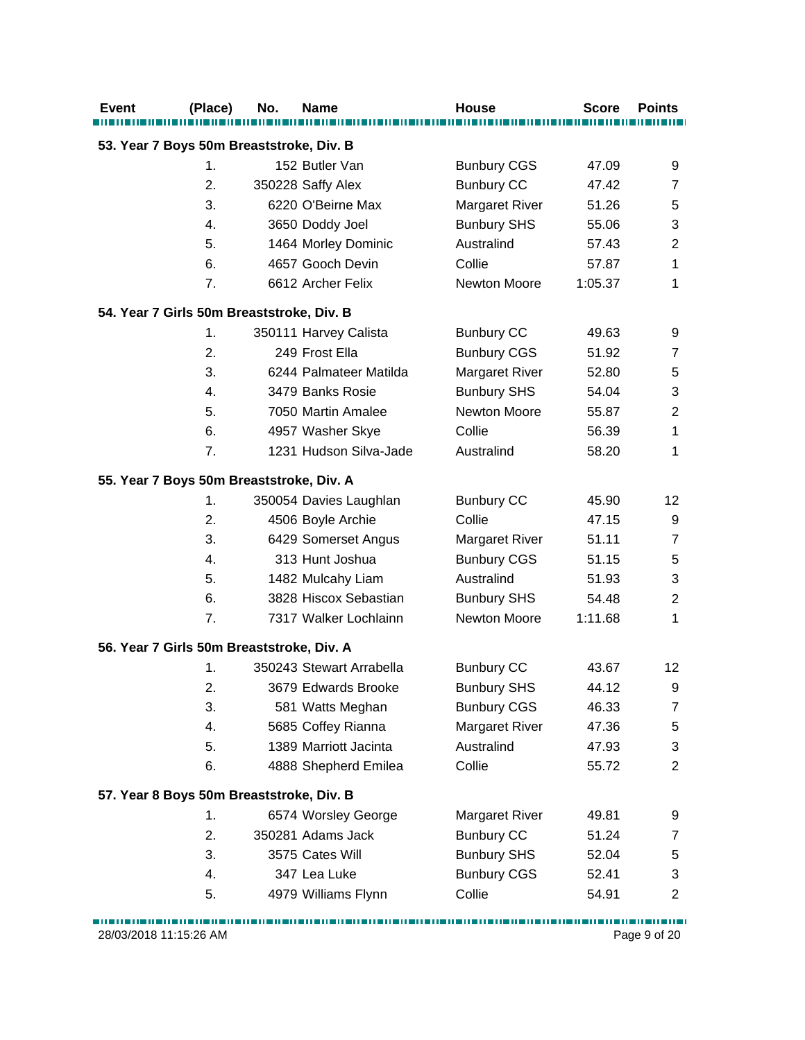| <b>Event</b>                              | (Place)       | No. | <b>Name</b>              | <b>House</b>          | <b>Score</b> | <b>Points</b>             |
|-------------------------------------------|---------------|-----|--------------------------|-----------------------|--------------|---------------------------|
| 53. Year 7 Boys 50m Breaststroke, Div. B  |               |     |                          |                       |              |                           |
|                                           | $\mathbf 1$ . |     | 152 Butler Van           | <b>Bunbury CGS</b>    | 47.09        | 9                         |
|                                           | 2.            |     | 350228 Saffy Alex        | <b>Bunbury CC</b>     | 47.42        | 7                         |
|                                           | 3.            |     | 6220 O'Beirne Max        | <b>Margaret River</b> | 51.26        | 5                         |
|                                           | 4.            |     | 3650 Doddy Joel          | <b>Bunbury SHS</b>    | 55.06        | $\ensuremath{\mathsf{3}}$ |
|                                           | 5.            |     | 1464 Morley Dominic      | Australind            | 57.43        | $\overline{2}$            |
|                                           | 6.            |     | 4657 Gooch Devin         | Collie                | 57.87        | 1                         |
|                                           | 7.            |     | 6612 Archer Felix        | Newton Moore          | 1:05.37      | 1                         |
| 54. Year 7 Girls 50m Breaststroke, Div. B |               |     |                          |                       |              |                           |
|                                           | 1.            |     | 350111 Harvey Calista    | <b>Bunbury CC</b>     | 49.63        | 9                         |
|                                           | 2.            |     | 249 Frost Ella           | <b>Bunbury CGS</b>    | 51.92        | $\overline{7}$            |
|                                           | 3.            |     | 6244 Palmateer Matilda   | <b>Margaret River</b> | 52.80        | 5                         |
|                                           | 4.            |     | 3479 Banks Rosie         | <b>Bunbury SHS</b>    | 54.04        | 3                         |
|                                           | 5.            |     | 7050 Martin Amalee       | <b>Newton Moore</b>   | 55.87        | $\overline{2}$            |
|                                           | 6.            |     | 4957 Washer Skye         | Collie                | 56.39        | $\mathbf{1}$              |
|                                           | 7.            |     | 1231 Hudson Silva-Jade   | Australind            | 58.20        | 1                         |
| 55. Year 7 Boys 50m Breaststroke, Div. A  |               |     |                          |                       |              |                           |
|                                           | 1.            |     | 350054 Davies Laughlan   | <b>Bunbury CC</b>     | 45.90        | 12                        |
|                                           | 2.            |     | 4506 Boyle Archie        | Collie                | 47.15        | $\boldsymbol{9}$          |
|                                           | 3.            |     | 6429 Somerset Angus      | <b>Margaret River</b> | 51.11        | $\overline{7}$            |
|                                           | 4.            |     | 313 Hunt Joshua          | <b>Bunbury CGS</b>    | 51.15        | 5                         |
|                                           | 5.            |     | 1482 Mulcahy Liam        | Australind            | 51.93        | 3                         |
|                                           | 6.            |     | 3828 Hiscox Sebastian    | <b>Bunbury SHS</b>    | 54.48        | $\overline{2}$            |
|                                           | 7.            |     | 7317 Walker Lochlainn    | Newton Moore          | 1:11.68      | 1                         |
| 56. Year 7 Girls 50m Breaststroke, Div. A |               |     |                          |                       |              |                           |
|                                           | 1.            |     | 350243 Stewart Arrabella | <b>Bunbury CC</b>     | 43.67        | 12                        |
|                                           | 2.            |     | 3679 Edwards Brooke      | <b>Bunbury SHS</b>    | 44.12        | 9                         |
|                                           | 3.            |     | 581 Watts Meghan         | <b>Bunbury CGS</b>    | 46.33        | $\overline{7}$            |
|                                           | 4.            |     | 5685 Coffey Rianna       | <b>Margaret River</b> | 47.36        | 5                         |
|                                           | 5.            |     | 1389 Marriott Jacinta    | Australind            | 47.93        | 3                         |
|                                           | 6.            |     | 4888 Shepherd Emilea     | Collie                | 55.72        | $\overline{2}$            |
| 57. Year 8 Boys 50m Breaststroke, Div. B  |               |     |                          |                       |              |                           |
|                                           | 1.            |     | 6574 Worsley George      | <b>Margaret River</b> | 49.81        | 9                         |
|                                           | 2.            |     | 350281 Adams Jack        | <b>Bunbury CC</b>     | 51.24        | 7                         |
|                                           | 3.            |     | 3575 Cates Will          | <b>Bunbury SHS</b>    | 52.04        | 5                         |
|                                           | 4.            |     | 347 Lea Luke             | <b>Bunbury CGS</b>    | 52.41        | 3                         |
|                                           | 5.            |     | 4979 Williams Flynn      | Collie                | 54.91        | $\overline{c}$            |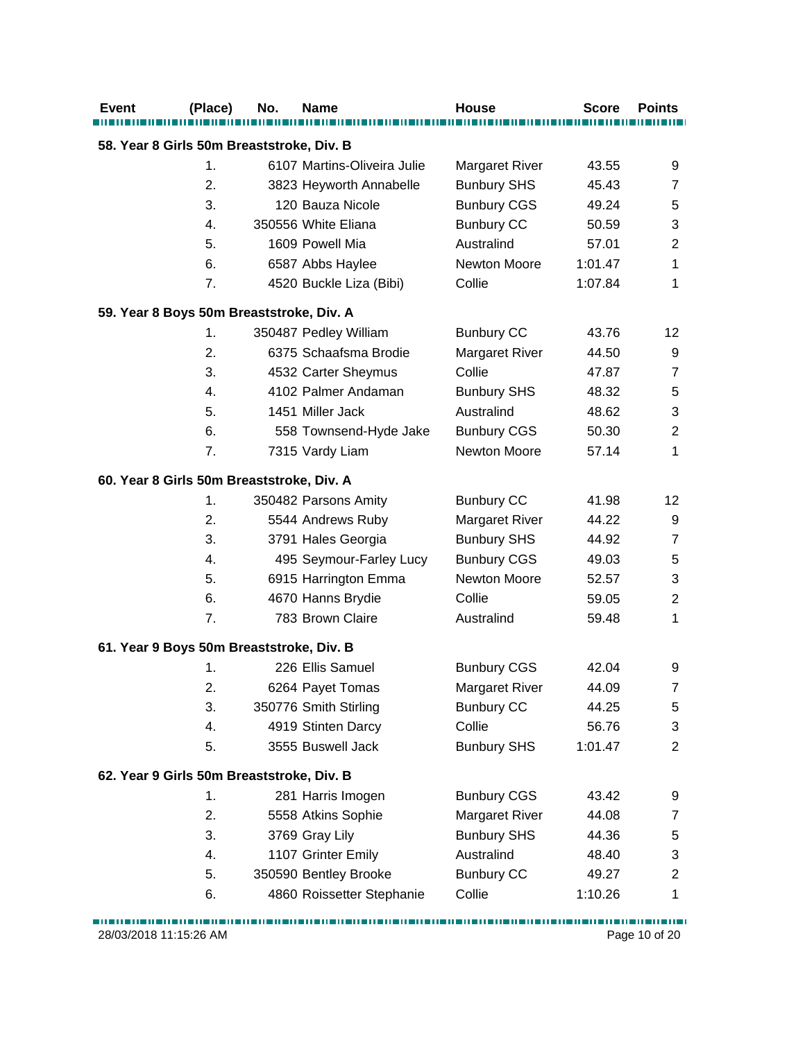| <b>Event</b>                              | (Place)        | No. | Name                        | <b>House</b>          | Score   | <b>Points</b>             |  |  |  |
|-------------------------------------------|----------------|-----|-----------------------------|-----------------------|---------|---------------------------|--|--|--|
| 58. Year 8 Girls 50m Breaststroke, Div. B |                |     |                             |                       |         |                           |  |  |  |
|                                           | $\mathbf{1}$ . |     | 6107 Martins-Oliveira Julie | <b>Margaret River</b> | 43.55   | 9                         |  |  |  |
|                                           | 2.             |     | 3823 Heyworth Annabelle     | <b>Bunbury SHS</b>    | 45.43   | 7                         |  |  |  |
|                                           | 3.             |     | 120 Bauza Nicole            | <b>Bunbury CGS</b>    | 49.24   | 5                         |  |  |  |
|                                           | 4.             |     | 350556 White Eliana         | <b>Bunbury CC</b>     | 50.59   | 3                         |  |  |  |
|                                           | 5.             |     | 1609 Powell Mia             | Australind            | 57.01   | $\overline{2}$            |  |  |  |
|                                           | 6.             |     | 6587 Abbs Haylee            | Newton Moore          | 1:01.47 | 1                         |  |  |  |
|                                           | 7.             |     | 4520 Buckle Liza (Bibi)     | Collie                | 1:07.84 | 1                         |  |  |  |
| 59. Year 8 Boys 50m Breaststroke, Div. A  |                |     |                             |                       |         |                           |  |  |  |
|                                           | 1.             |     | 350487 Pedley William       | <b>Bunbury CC</b>     | 43.76   | 12                        |  |  |  |
|                                           | 2.             |     | 6375 Schaafsma Brodie       | <b>Margaret River</b> | 44.50   | 9                         |  |  |  |
|                                           | 3.             |     | 4532 Carter Sheymus         | Collie                | 47.87   | $\overline{7}$            |  |  |  |
|                                           | 4.             |     | 4102 Palmer Andaman         | <b>Bunbury SHS</b>    | 48.32   | $\mathbf 5$               |  |  |  |
|                                           | 5.             |     | 1451 Miller Jack            | Australind            | 48.62   | $\ensuremath{\mathsf{3}}$ |  |  |  |
|                                           | 6.             |     | 558 Townsend-Hyde Jake      | <b>Bunbury CGS</b>    | 50.30   | $\overline{2}$            |  |  |  |
|                                           | 7.             |     | 7315 Vardy Liam             | Newton Moore          | 57.14   | $\mathbf{1}$              |  |  |  |
| 60. Year 8 Girls 50m Breaststroke, Div. A |                |     |                             |                       |         |                           |  |  |  |
|                                           | 1.             |     | 350482 Parsons Amity        | <b>Bunbury CC</b>     | 41.98   | $12 \overline{ }$         |  |  |  |
|                                           | 2.             |     | 5544 Andrews Ruby           | <b>Margaret River</b> | 44.22   | 9                         |  |  |  |
|                                           | 3.             |     | 3791 Hales Georgia          | <b>Bunbury SHS</b>    | 44.92   | $\overline{7}$            |  |  |  |
|                                           | 4.             |     | 495 Seymour-Farley Lucy     | <b>Bunbury CGS</b>    | 49.03   | 5                         |  |  |  |
|                                           | 5.             |     | 6915 Harrington Emma        | Newton Moore          | 52.57   | 3                         |  |  |  |
|                                           | 6.             |     | 4670 Hanns Brydie           | Collie                | 59.05   | $\overline{2}$            |  |  |  |
|                                           | 7.             |     | 783 Brown Claire            | Australind            | 59.48   | 1                         |  |  |  |
| 61. Year 9 Boys 50m Breaststroke, Div. B  |                |     |                             |                       |         |                           |  |  |  |
|                                           | 1.             |     | 226 Ellis Samuel            | <b>Bunbury CGS</b>    | 42.04   | 9                         |  |  |  |
|                                           | 2.             |     | 6264 Payet Tomas            | Margaret River        | 44.09   | 7                         |  |  |  |
|                                           | 3.             |     | 350776 Smith Stirling       | <b>Bunbury CC</b>     | 44.25   | 5                         |  |  |  |
|                                           | 4.             |     | 4919 Stinten Darcy          | Collie                | 56.76   | 3                         |  |  |  |
|                                           | 5.             |     | 3555 Buswell Jack           | <b>Bunbury SHS</b>    | 1:01.47 | $\overline{2}$            |  |  |  |
| 62. Year 9 Girls 50m Breaststroke, Div. B |                |     |                             |                       |         |                           |  |  |  |
|                                           | 1.             |     | 281 Harris Imogen           | <b>Bunbury CGS</b>    | 43.42   | 9                         |  |  |  |
|                                           | 2.             |     | 5558 Atkins Sophie          | <b>Margaret River</b> | 44.08   | $\overline{7}$            |  |  |  |
|                                           | 3.             |     | 3769 Gray Lily              | <b>Bunbury SHS</b>    | 44.36   | 5                         |  |  |  |
|                                           | 4.             |     | 1107 Grinter Emily          | Australind            | 48.40   | 3                         |  |  |  |
|                                           | 5.             |     | 350590 Bentley Brooke       | <b>Bunbury CC</b>     | 49.27   | $\overline{c}$            |  |  |  |
|                                           | 6.             |     | 4860 Roissetter Stephanie   | Collie                | 1:10.26 | 1                         |  |  |  |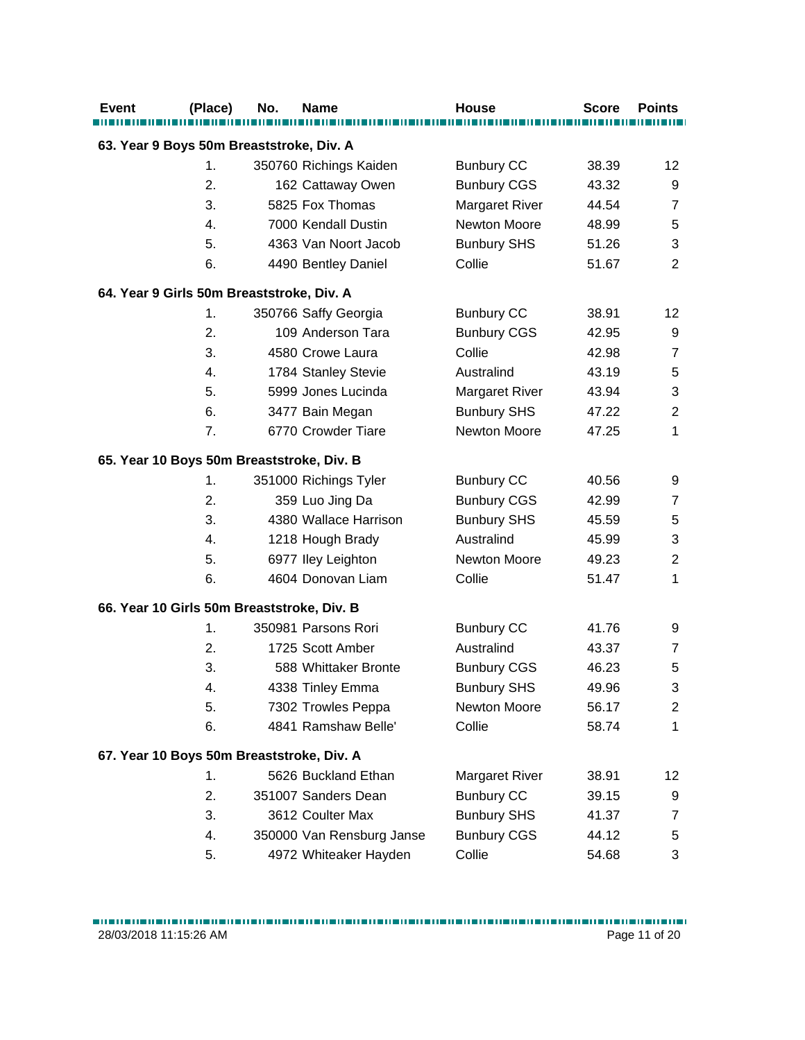| <b>Event</b>                               | (Place) | No. | <b>Name</b>               | <b>House</b>          | <b>Score</b> | <b>Points</b>           |
|--------------------------------------------|---------|-----|---------------------------|-----------------------|--------------|-------------------------|
| 63. Year 9 Boys 50m Breaststroke, Div. A   |         |     |                           |                       |              |                         |
|                                            | 1.      |     | 350760 Richings Kaiden    | <b>Bunbury CC</b>     | 38.39        | 12                      |
|                                            | 2.      |     | 162 Cattaway Owen         | <b>Bunbury CGS</b>    | 43.32        | 9                       |
|                                            | 3.      |     | 5825 Fox Thomas           | <b>Margaret River</b> | 44.54        | $\overline{7}$          |
|                                            | 4.      |     | 7000 Kendall Dustin       | Newton Moore          | 48.99        | $\mathbf 5$             |
|                                            | 5.      |     | 4363 Van Noort Jacob      | <b>Bunbury SHS</b>    | 51.26        | 3                       |
|                                            | 6.      |     | 4490 Bentley Daniel       | Collie                | 51.67        | $\overline{2}$          |
| 64. Year 9 Girls 50m Breaststroke, Div. A  |         |     |                           |                       |              |                         |
|                                            | 1.      |     | 350766 Saffy Georgia      | <b>Bunbury CC</b>     | 38.91        | 12                      |
|                                            | 2.      |     | 109 Anderson Tara         | <b>Bunbury CGS</b>    | 42.95        | 9                       |
|                                            | 3.      |     | 4580 Crowe Laura          | Collie                | 42.98        | $\overline{7}$          |
|                                            | 4.      |     | 1784 Stanley Stevie       | Australind            | 43.19        | 5                       |
|                                            | 5.      |     | 5999 Jones Lucinda        | <b>Margaret River</b> | 43.94        | 3                       |
|                                            | 6.      |     | 3477 Bain Megan           | <b>Bunbury SHS</b>    | 47.22        | $\overline{2}$          |
|                                            | 7.      |     | 6770 Crowder Tiare        | Newton Moore          | 47.25        | 1                       |
| 65. Year 10 Boys 50m Breaststroke, Div. B  |         |     |                           |                       |              |                         |
|                                            | 1.      |     | 351000 Richings Tyler     | <b>Bunbury CC</b>     | 40.56        | 9                       |
|                                            | 2.      |     | 359 Luo Jing Da           | <b>Bunbury CGS</b>    | 42.99        | $\overline{7}$          |
|                                            | 3.      |     | 4380 Wallace Harrison     | <b>Bunbury SHS</b>    | 45.59        | $\mathbf 5$             |
|                                            | 4.      |     | 1218 Hough Brady          | Australind            | 45.99        | 3                       |
|                                            | 5.      |     | 6977 Iley Leighton        | Newton Moore          | 49.23        | $\overline{2}$          |
|                                            | 6.      |     | 4604 Donovan Liam         | Collie                | 51.47        | 1                       |
| 66. Year 10 Girls 50m Breaststroke, Div. B |         |     |                           |                       |              |                         |
|                                            | 1.      |     | 350981 Parsons Rori       | <b>Bunbury CC</b>     | 41.76        | 9                       |
|                                            | 2.      |     | 1725 Scott Amber          | Australind            | 43.37        | $\overline{7}$          |
|                                            | 3.      |     | 588 Whittaker Bronte      | <b>Bunbury CGS</b>    | 46.23        | 5                       |
|                                            | 4.      |     | 4338 Tinley Emma          | <b>Bunbury SHS</b>    | 49.96        | 3                       |
|                                            | 5.      |     | 7302 Trowles Peppa        | Newton Moore          | 56.17        | $\overline{\mathbf{c}}$ |
|                                            | 6.      |     | 4841 Ramshaw Belle'       | Collie                | 58.74        | 1                       |
| 67. Year 10 Boys 50m Breaststroke, Div. A  |         |     |                           |                       |              |                         |
|                                            | 1.      |     | 5626 Buckland Ethan       | <b>Margaret River</b> | 38.91        | 12                      |
|                                            | 2.      |     | 351007 Sanders Dean       | <b>Bunbury CC</b>     | 39.15        | 9                       |
|                                            | 3.      |     | 3612 Coulter Max          | <b>Bunbury SHS</b>    | 41.37        | $\overline{7}$          |
|                                            | 4.      |     | 350000 Van Rensburg Janse | <b>Bunbury CGS</b>    | 44.12        | 5                       |
|                                            | 5.      |     | 4972 Whiteaker Hayden     | Collie                | 54.68        | 3                       |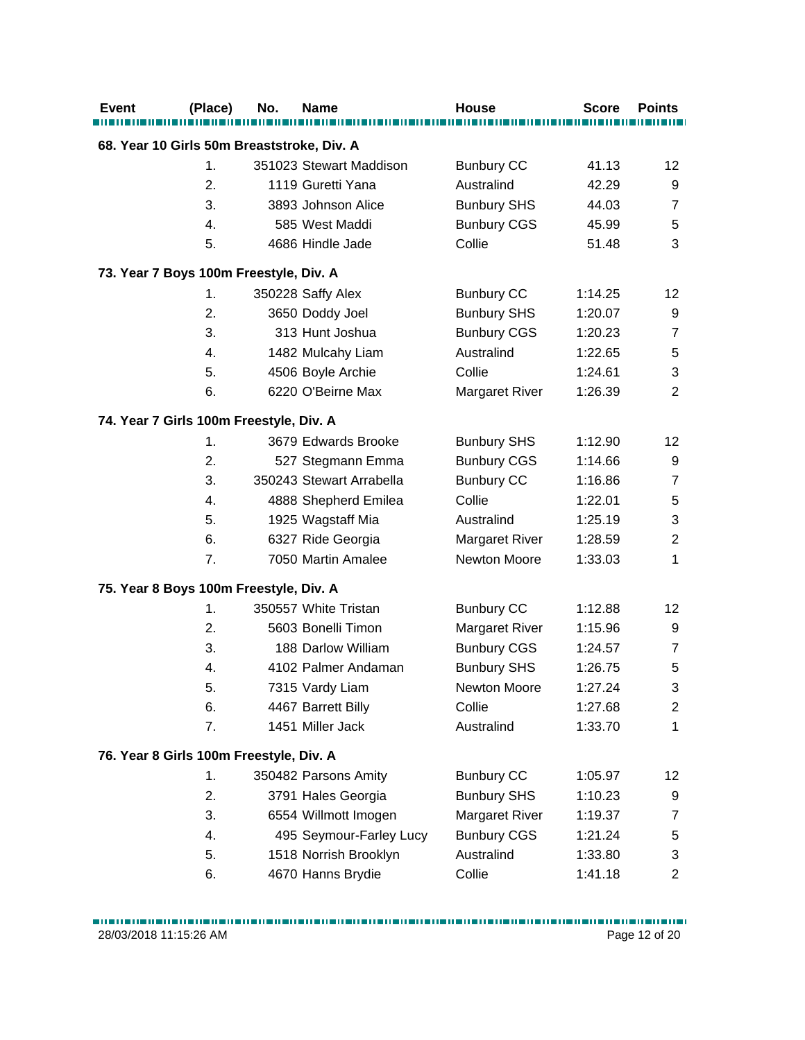| <b>Event</b>                               | (Place)        | No. | Name                     | <b>House</b>          | <b>Score</b> | <b>Points</b>     |  |  |
|--------------------------------------------|----------------|-----|--------------------------|-----------------------|--------------|-------------------|--|--|
| 68. Year 10 Girls 50m Breaststroke, Div. A |                |     |                          |                       |              |                   |  |  |
|                                            | $\mathbf{1}$ . |     | 351023 Stewart Maddison  | <b>Bunbury CC</b>     | 41.13        | 12                |  |  |
|                                            | 2.             |     | 1119 Guretti Yana        | Australind            | 42.29        | 9                 |  |  |
|                                            | 3.             |     | 3893 Johnson Alice       | <b>Bunbury SHS</b>    | 44.03        | $\overline{7}$    |  |  |
|                                            | 4.             |     | 585 West Maddi           | <b>Bunbury CGS</b>    | 45.99        | 5                 |  |  |
|                                            | 5.             |     | 4686 Hindle Jade         | Collie                | 51.48        | 3                 |  |  |
| 73. Year 7 Boys 100m Freestyle, Div. A     |                |     |                          |                       |              |                   |  |  |
|                                            | 1.             |     | 350228 Saffy Alex        | <b>Bunbury CC</b>     | 1:14.25      | $12 \overline{ }$ |  |  |
|                                            | 2.             |     | 3650 Doddy Joel          | <b>Bunbury SHS</b>    | 1:20.07      | 9                 |  |  |
|                                            | 3.             |     | 313 Hunt Joshua          | <b>Bunbury CGS</b>    | 1:20.23      | $\overline{7}$    |  |  |
|                                            | 4.             |     | 1482 Mulcahy Liam        | Australind            | 1:22.65      | $\,$ 5 $\,$       |  |  |
|                                            | 5.             |     | 4506 Boyle Archie        | Collie                | 1:24.61      | 3                 |  |  |
|                                            | 6.             |     | 6220 O'Beirne Max        | <b>Margaret River</b> | 1:26.39      | $\overline{2}$    |  |  |
| 74. Year 7 Girls 100m Freestyle, Div. A    |                |     |                          |                       |              |                   |  |  |
|                                            | $\mathbf{1}$ . |     | 3679 Edwards Brooke      | <b>Bunbury SHS</b>    | 1:12.90      | $12 \overline{ }$ |  |  |
|                                            | 2.             |     | 527 Stegmann Emma        | <b>Bunbury CGS</b>    | 1:14.66      | 9                 |  |  |
|                                            | 3.             |     | 350243 Stewart Arrabella | <b>Bunbury CC</b>     | 1:16.86      | 7                 |  |  |
|                                            | 4.             |     | 4888 Shepherd Emilea     | Collie                | 1:22.01      | 5                 |  |  |
|                                            | 5.             |     | 1925 Wagstaff Mia        | Australind            | 1:25.19      | 3                 |  |  |
|                                            | 6.             |     | 6327 Ride Georgia        | <b>Margaret River</b> | 1:28.59      | $\overline{2}$    |  |  |
|                                            | 7.             |     | 7050 Martin Amalee       | Newton Moore          | 1:33.03      | 1                 |  |  |
| 75. Year 8 Boys 100m Freestyle, Div. A     |                |     |                          |                       |              |                   |  |  |
|                                            | 1.             |     | 350557 White Tristan     | <b>Bunbury CC</b>     | 1:12.88      | 12                |  |  |
|                                            | 2.             |     | 5603 Bonelli Timon       | <b>Margaret River</b> | 1:15.96      | 9                 |  |  |
|                                            | 3.             |     | 188 Darlow William       | <b>Bunbury CGS</b>    | 1:24.57      | $\overline{7}$    |  |  |
|                                            | 4.             |     | 4102 Palmer Andaman      | <b>Bunbury SHS</b>    | 1:26.75      | 5                 |  |  |
|                                            | 5.             |     | 7315 Vardy Liam          | Newton Moore          | 1:27.24      | 3                 |  |  |
|                                            | 6.             |     | 4467 Barrett Billy       | Collie                | 1:27.68      | $\overline{c}$    |  |  |
|                                            | 7.             |     | 1451 Miller Jack         | Australind            | 1:33.70      | 1                 |  |  |
| 76. Year 8 Girls 100m Freestyle, Div. A    |                |     |                          |                       |              |                   |  |  |
|                                            | $\mathbf{1}$ . |     | 350482 Parsons Amity     | <b>Bunbury CC</b>     | 1:05.97      | 12                |  |  |
|                                            | 2.             |     | 3791 Hales Georgia       | <b>Bunbury SHS</b>    | 1:10.23      | 9                 |  |  |
|                                            | 3.             |     | 6554 Willmott Imogen     | <b>Margaret River</b> | 1:19.37      | $\overline{7}$    |  |  |
|                                            | 4.             |     | 495 Seymour-Farley Lucy  | <b>Bunbury CGS</b>    | 1:21.24      | 5                 |  |  |
|                                            | 5.             |     | 1518 Norrish Brooklyn    | Australind            | 1:33.80      | 3                 |  |  |
|                                            | 6.             |     | 4670 Hanns Brydie        | Collie                | 1:41.18      | $\overline{c}$    |  |  |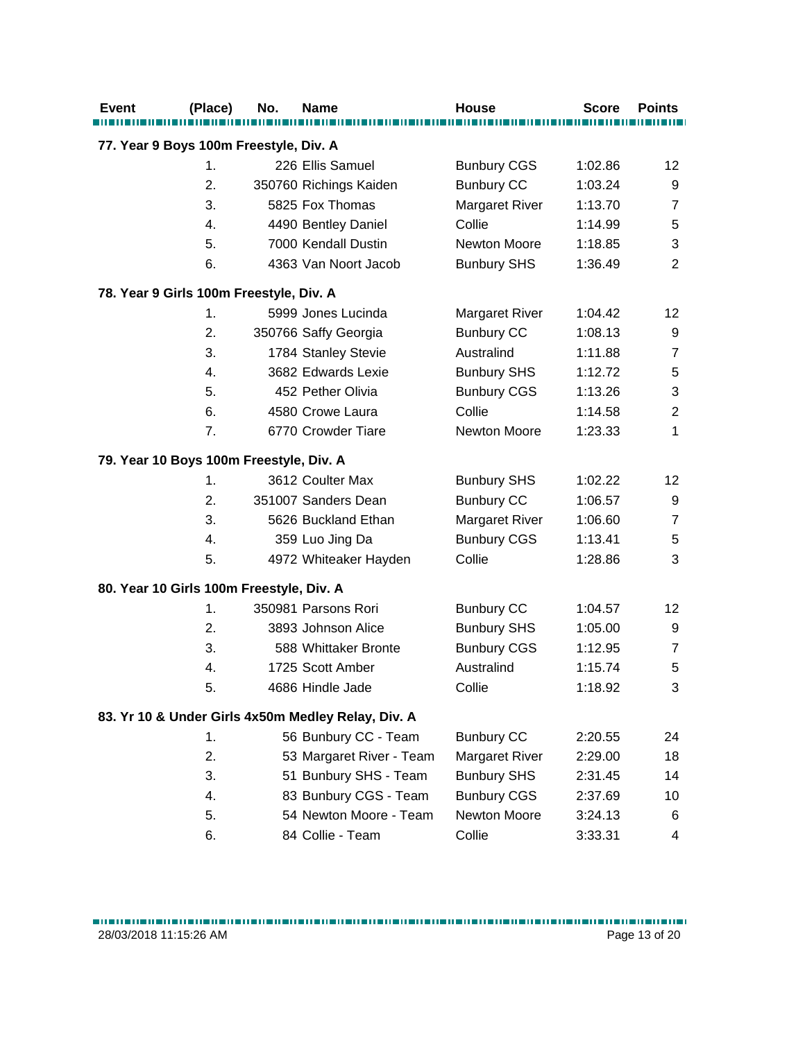| <b>Event</b>                             | (Place) | No. | <b>Name</b>                                        | <b>House</b>          | <b>Score</b> | <b>Points</b>    |
|------------------------------------------|---------|-----|----------------------------------------------------|-----------------------|--------------|------------------|
|                                          |         |     |                                                    |                       |              |                  |
| 77. Year 9 Boys 100m Freestyle, Div. A   |         |     |                                                    |                       |              |                  |
|                                          | 1.      |     | 226 Ellis Samuel                                   | <b>Bunbury CGS</b>    | 1:02.86      | 12               |
|                                          | 2.      |     | 350760 Richings Kaiden                             | <b>Bunbury CC</b>     | 1:03.24      | 9                |
|                                          | 3.      |     | 5825 Fox Thomas                                    | <b>Margaret River</b> | 1:13.70      | $\overline{7}$   |
|                                          | 4.      |     | 4490 Bentley Daniel                                | Collie                | 1:14.99      | 5                |
|                                          | 5.      |     | 7000 Kendall Dustin                                | Newton Moore          | 1:18.85      | 3                |
|                                          | 6.      |     | 4363 Van Noort Jacob                               | <b>Bunbury SHS</b>    | 1:36.49      | $\overline{2}$   |
| 78. Year 9 Girls 100m Freestyle, Div. A  |         |     |                                                    |                       |              |                  |
|                                          | 1.      |     | 5999 Jones Lucinda                                 | <b>Margaret River</b> | 1:04.42      | 12               |
|                                          | 2.      |     | 350766 Saffy Georgia                               | <b>Bunbury CC</b>     | 1:08.13      | 9                |
|                                          | 3.      |     | 1784 Stanley Stevie                                | Australind            | 1:11.88      | 7                |
|                                          | 4.      |     | 3682 Edwards Lexie                                 | <b>Bunbury SHS</b>    | 1:12.72      | 5                |
|                                          | 5.      |     | 452 Pether Olivia                                  | <b>Bunbury CGS</b>    | 1:13.26      | 3                |
|                                          | 6.      |     | 4580 Crowe Laura                                   | Collie                | 1:14.58      | $\boldsymbol{2}$ |
|                                          | 7.      |     | 6770 Crowder Tiare                                 | Newton Moore          | 1:23.33      | 1                |
| 79. Year 10 Boys 100m Freestyle, Div. A  |         |     |                                                    |                       |              |                  |
|                                          | 1.      |     | 3612 Coulter Max                                   | <b>Bunbury SHS</b>    | 1:02.22      | 12               |
|                                          | 2.      |     | 351007 Sanders Dean                                | <b>Bunbury CC</b>     | 1:06.57      | 9                |
|                                          | 3.      |     | 5626 Buckland Ethan                                | <b>Margaret River</b> | 1:06.60      | $\overline{7}$   |
|                                          | 4.      |     | 359 Luo Jing Da                                    | <b>Bunbury CGS</b>    | 1:13.41      | 5                |
|                                          | 5.      |     | 4972 Whiteaker Hayden                              | Collie                | 1:28.86      | 3                |
| 80. Year 10 Girls 100m Freestyle, Div. A |         |     |                                                    |                       |              |                  |
|                                          | 1.      |     | 350981 Parsons Rori                                | <b>Bunbury CC</b>     | 1:04.57      | 12               |
|                                          | 2.      |     | 3893 Johnson Alice                                 | <b>Bunbury SHS</b>    | 1:05.00      | 9                |
|                                          | 3.      |     | 588 Whittaker Bronte                               | <b>Bunbury CGS</b>    | 1:12.95      | $\overline{7}$   |
|                                          | 4.      |     | 1725 Scott Amber                                   | Australind            | 1:15.74      | 5                |
|                                          | 5.      |     | 4686 Hindle Jade                                   | Collie                | 1:18.92      | 3                |
|                                          |         |     |                                                    |                       |              |                  |
|                                          |         |     | 83. Yr 10 & Under Girls 4x50m Medley Relay, Div. A |                       |              |                  |
|                                          | 1.      |     | 56 Bunbury CC - Team                               | <b>Bunbury CC</b>     | 2:20.55      | 24               |
|                                          | 2.      |     | 53 Margaret River - Team                           | Margaret River        | 2:29.00      | 18               |
|                                          | 3.      |     | 51 Bunbury SHS - Team                              | <b>Bunbury SHS</b>    | 2:31.45      | 14               |
|                                          | 4.      |     | 83 Bunbury CGS - Team                              | <b>Bunbury CGS</b>    | 2:37.69      | 10               |
|                                          | 5.      |     | 54 Newton Moore - Team                             | Newton Moore          | 3:24.13      | 6                |
|                                          | 6.      |     | 84 Collie - Team                                   | Collie                | 3:33.31      | 4                |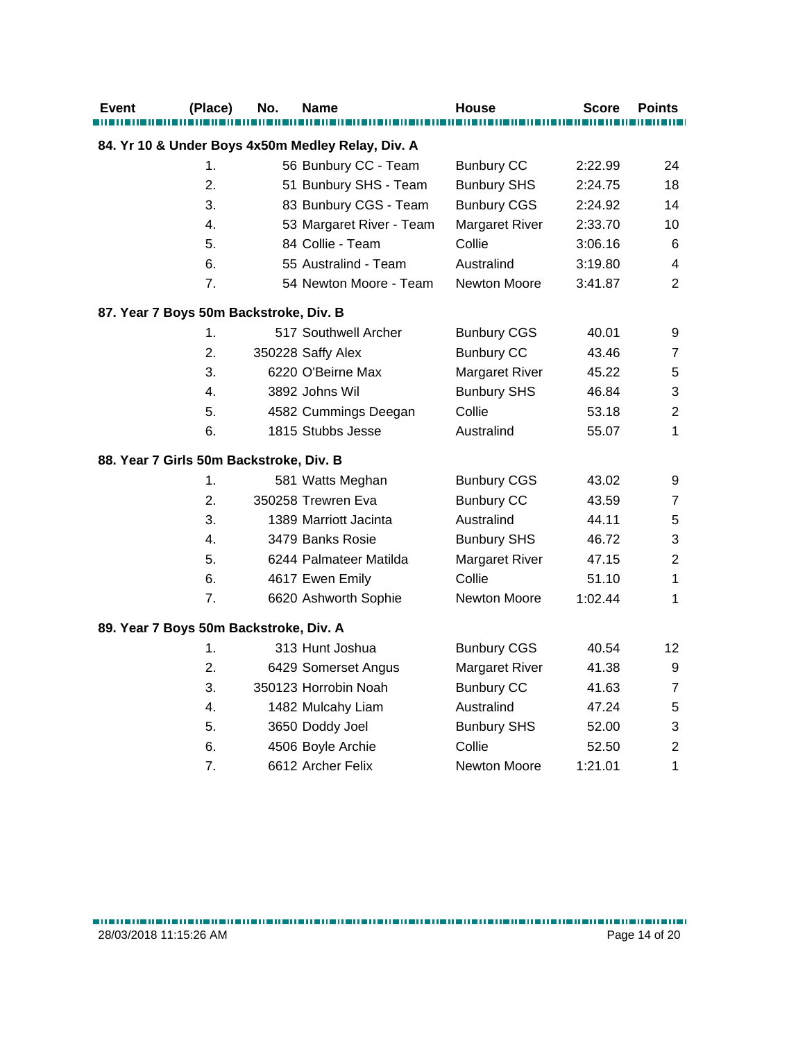| <b>Event</b>                            | (Place)        | No. | <b>Name</b>                                       | <b>House</b>          | Score   | <b>Points</b>           |
|-----------------------------------------|----------------|-----|---------------------------------------------------|-----------------------|---------|-------------------------|
|                                         |                |     | 84. Yr 10 & Under Boys 4x50m Medley Relay, Div. A |                       |         |                         |
|                                         | 1.             |     | 56 Bunbury CC - Team                              | <b>Bunbury CC</b>     | 2:22.99 | 24                      |
|                                         | 2.             |     | 51 Bunbury SHS - Team                             | <b>Bunbury SHS</b>    | 2:24.75 | 18                      |
|                                         | 3.             |     | 83 Bunbury CGS - Team                             | <b>Bunbury CGS</b>    | 2:24.92 | 14                      |
|                                         | 4.             |     | 53 Margaret River - Team                          | Margaret River        | 2:33.70 | 10                      |
|                                         | 5.             |     | 84 Collie - Team                                  | Collie                | 3:06.16 | $\,6$                   |
|                                         | 6.             |     | 55 Australind - Team                              | Australind            | 3:19.80 | $\overline{\mathbf{4}}$ |
|                                         | 7 <sub>1</sub> |     | 54 Newton Moore - Team                            | Newton Moore          | 3:41.87 | $\overline{2}$          |
| 87. Year 7 Boys 50m Backstroke, Div. B  |                |     |                                                   |                       |         |                         |
|                                         | 1.             |     | 517 Southwell Archer                              | <b>Bunbury CGS</b>    | 40.01   | 9                       |
|                                         | 2.             |     | 350228 Saffy Alex                                 | <b>Bunbury CC</b>     | 43.46   | $\overline{7}$          |
|                                         | 3.             |     | 6220 O'Beirne Max                                 | <b>Margaret River</b> | 45.22   | 5                       |
|                                         | 4.             |     | 3892 Johns Wil                                    | <b>Bunbury SHS</b>    | 46.84   | 3                       |
|                                         | 5.             |     | 4582 Cummings Deegan                              | Collie                | 53.18   | $\overline{2}$          |
|                                         | 6.             |     | 1815 Stubbs Jesse                                 | Australind            | 55.07   | 1                       |
| 88. Year 7 Girls 50m Backstroke, Div. B |                |     |                                                   |                       |         |                         |
|                                         | 1.             |     | 581 Watts Meghan                                  | <b>Bunbury CGS</b>    | 43.02   | 9                       |
|                                         | 2.             |     | 350258 Trewren Eva                                | <b>Bunbury CC</b>     | 43.59   | 7                       |
|                                         | 3.             |     | 1389 Marriott Jacinta                             | Australind            | 44.11   | $\sqrt{5}$              |
|                                         | 4.             |     | 3479 Banks Rosie                                  | <b>Bunbury SHS</b>    | 46.72   | 3                       |
|                                         | 5.             |     | 6244 Palmateer Matilda                            | <b>Margaret River</b> | 47.15   | $\overline{2}$          |
|                                         | 6.             |     | 4617 Ewen Emily                                   | Collie                | 51.10   | $\mathbf{1}$            |
|                                         | 7.             |     | 6620 Ashworth Sophie                              | Newton Moore          | 1:02.44 | $\mathbf{1}$            |
| 89. Year 7 Boys 50m Backstroke, Div. A  |                |     |                                                   |                       |         |                         |
|                                         | 1.             |     | 313 Hunt Joshua                                   | <b>Bunbury CGS</b>    | 40.54   | 12                      |
|                                         | 2.             |     | 6429 Somerset Angus                               | <b>Margaret River</b> | 41.38   | 9                       |
|                                         | 3.             |     | 350123 Horrobin Noah                              | <b>Bunbury CC</b>     | 41.63   | $\overline{7}$          |
|                                         | 4.             |     | 1482 Mulcahy Liam                                 | Australind            | 47.24   | 5                       |
|                                         | 5.             |     | 3650 Doddy Joel                                   | <b>Bunbury SHS</b>    | 52.00   | 3                       |
|                                         | 6.             |     | 4506 Boyle Archie                                 | Collie                | 52.50   | $\overline{c}$          |
|                                         | 7.             |     | 6612 Archer Felix                                 | <b>Newton Moore</b>   | 1:21.01 | 1                       |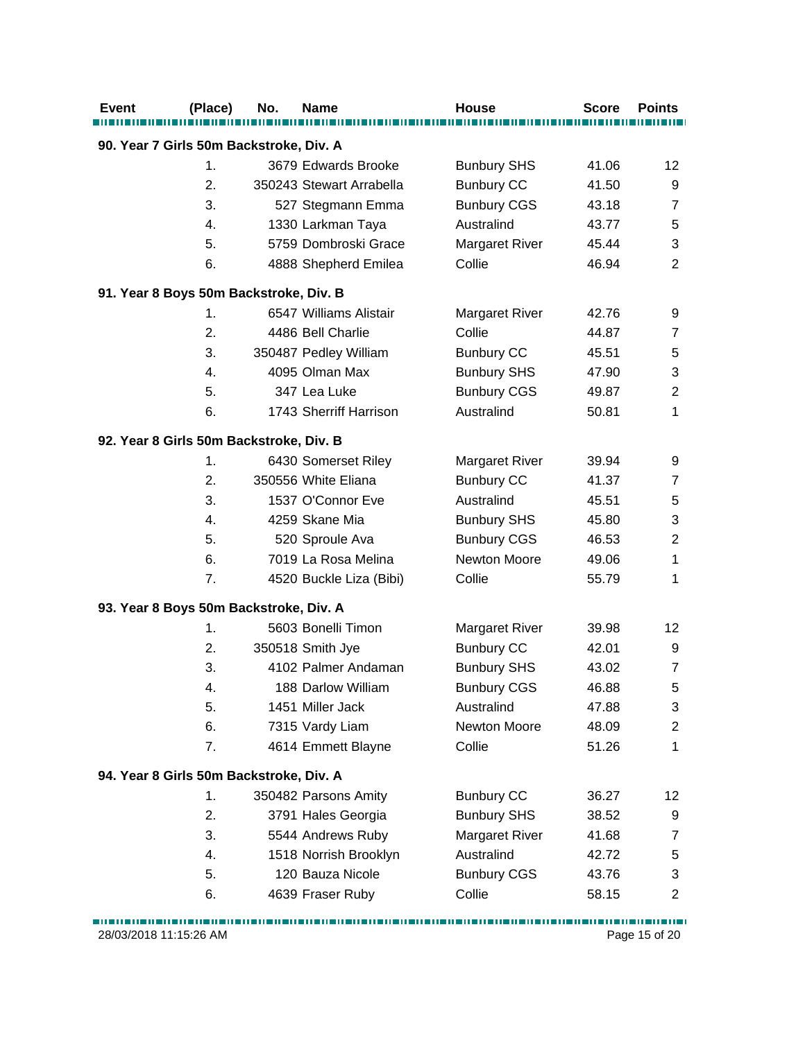| <b>Event</b>                            | (Place) | No. | Name                     | <b>House</b>          | <b>Score</b> | <b>Points</b>           |
|-----------------------------------------|---------|-----|--------------------------|-----------------------|--------------|-------------------------|
| 90. Year 7 Girls 50m Backstroke, Div. A |         |     |                          |                       |              |                         |
|                                         | 1.      |     | 3679 Edwards Brooke      | <b>Bunbury SHS</b>    | 41.06        | 12                      |
|                                         | 2.      |     | 350243 Stewart Arrabella | <b>Bunbury CC</b>     | 41.50        | 9                       |
|                                         | 3.      |     | 527 Stegmann Emma        | <b>Bunbury CGS</b>    | 43.18        | $\overline{7}$          |
|                                         | 4.      |     | 1330 Larkman Taya        | Australind            | 43.77        | 5                       |
|                                         | 5.      |     | 5759 Dombroski Grace     | <b>Margaret River</b> | 45.44        | 3                       |
|                                         | 6.      |     | 4888 Shepherd Emilea     | Collie                | 46.94        | $\overline{2}$          |
| 91. Year 8 Boys 50m Backstroke, Div. B  |         |     |                          |                       |              |                         |
|                                         | 1.      |     | 6547 Williams Alistair   | <b>Margaret River</b> | 42.76        | 9                       |
|                                         | 2.      |     | 4486 Bell Charlie        | Collie                | 44.87        | $\overline{7}$          |
|                                         | 3.      |     | 350487 Pedley William    | <b>Bunbury CC</b>     | 45.51        | 5                       |
|                                         | 4.      |     | 4095 Olman Max           | <b>Bunbury SHS</b>    | 47.90        | 3                       |
|                                         | 5.      |     | 347 Lea Luke             | <b>Bunbury CGS</b>    | 49.87        | $\overline{2}$          |
|                                         | 6.      |     | 1743 Sherriff Harrison   | Australind            | 50.81        | 1                       |
| 92. Year 8 Girls 50m Backstroke, Div. B |         |     |                          |                       |              |                         |
|                                         | 1.      |     | 6430 Somerset Riley      | <b>Margaret River</b> | 39.94        | 9                       |
|                                         | 2.      |     | 350556 White Eliana      | <b>Bunbury CC</b>     | 41.37        | $\overline{7}$          |
|                                         | 3.      |     | 1537 O'Connor Eve        | Australind            | 45.51        | 5                       |
|                                         | 4.      |     | 4259 Skane Mia           | <b>Bunbury SHS</b>    | 45.80        | 3                       |
|                                         | 5.      |     | 520 Sproule Ava          | <b>Bunbury CGS</b>    | 46.53        | $\overline{2}$          |
|                                         | 6.      |     | 7019 La Rosa Melina      | Newton Moore          | 49.06        | 1                       |
|                                         | 7.      |     | 4520 Buckle Liza (Bibi)  | Collie                | 55.79        | 1                       |
| 93. Year 8 Boys 50m Backstroke, Div. A  |         |     |                          |                       |              |                         |
|                                         | 1.      |     | 5603 Bonelli Timon       | <b>Margaret River</b> | 39.98        | 12                      |
|                                         | 2.      |     | 350518 Smith Jye         | <b>Bunbury CC</b>     | 42.01        | 9                       |
|                                         | 3.      |     | 4102 Palmer Andaman      | <b>Bunbury SHS</b>    | 43.02        | $\overline{7}$          |
|                                         | 4.      |     | 188 Darlow William       | <b>Bunbury CGS</b>    | 46.88        | 5                       |
|                                         | 5.      |     | 1451 Miller Jack         | Australind            | 47.88        | 3                       |
|                                         | 6.      |     | 7315 Vardy Liam          | Newton Moore          | 48.09        | $\overline{c}$          |
|                                         | 7.      |     | 4614 Emmett Blayne       | Collie                | 51.26        | $\mathbf{1}$            |
| 94. Year 8 Girls 50m Backstroke, Div. A |         |     |                          |                       |              |                         |
|                                         | 1.      |     | 350482 Parsons Amity     | <b>Bunbury CC</b>     | 36.27        | 12                      |
|                                         | 2.      |     | 3791 Hales Georgia       | <b>Bunbury SHS</b>    | 38.52        | 9                       |
|                                         | 3.      |     | 5544 Andrews Ruby        | Margaret River        | 41.68        | 7                       |
|                                         | 4.      |     | 1518 Norrish Brooklyn    | Australind            | 42.72        | 5                       |
|                                         | 5.      |     | 120 Bauza Nicole         | <b>Bunbury CGS</b>    | 43.76        | 3                       |
|                                         | 6.      |     | 4639 Fraser Ruby         | Collie                | 58.15        | $\overline{\mathbf{c}}$ |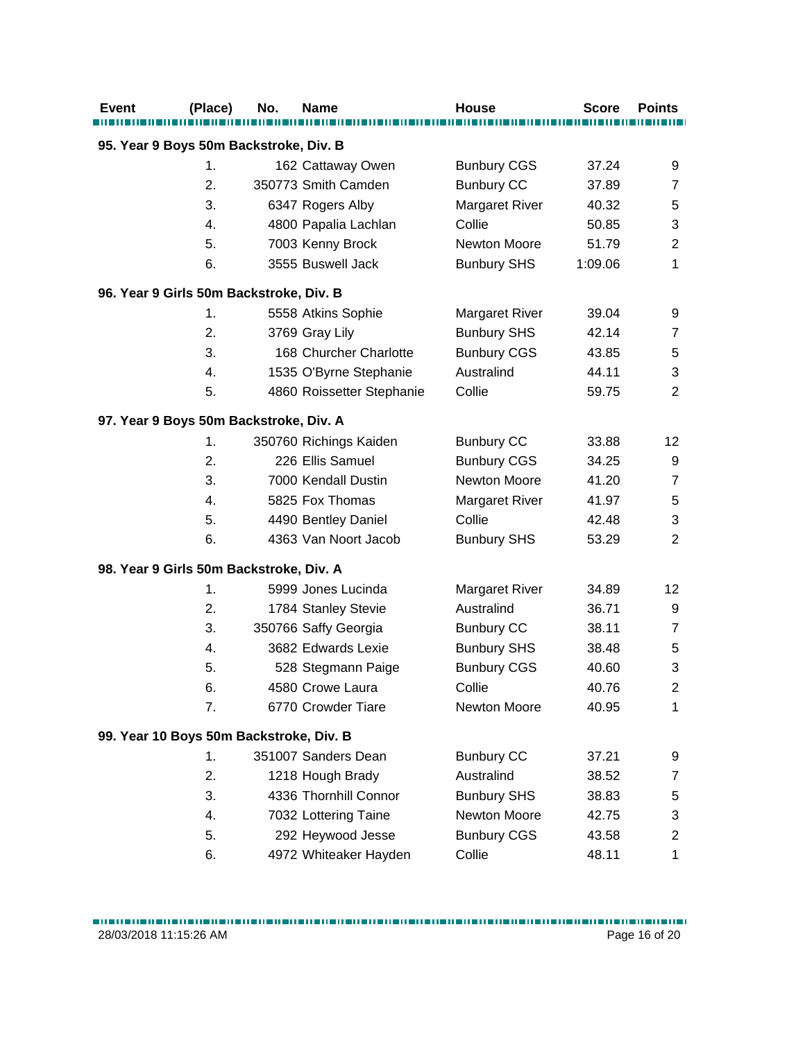| <b>Event</b>                            | (Place) | No. | <b>Name</b>               | <b>House</b>          | <b>Score</b> | <b>Points</b>  |
|-----------------------------------------|---------|-----|---------------------------|-----------------------|--------------|----------------|
|                                         |         |     |                           |                       |              |                |
| 95. Year 9 Boys 50m Backstroke, Div. B  |         |     |                           |                       |              |                |
|                                         | 1.      |     | 162 Cattaway Owen         | <b>Bunbury CGS</b>    | 37.24        | 9              |
|                                         | 2.      |     | 350773 Smith Camden       | <b>Bunbury CC</b>     | 37.89        | $\overline{7}$ |
|                                         | 3.      |     | 6347 Rogers Alby          | <b>Margaret River</b> | 40.32        | 5              |
|                                         | 4.      |     | 4800 Papalia Lachlan      | Collie                | 50.85        | 3              |
|                                         | 5.      |     | 7003 Kenny Brock          | Newton Moore          | 51.79        | $\overline{2}$ |
|                                         | 6.      |     | 3555 Buswell Jack         | <b>Bunbury SHS</b>    | 1:09.06      | $\mathbf{1}$   |
| 96. Year 9 Girls 50m Backstroke, Div. B |         |     |                           |                       |              |                |
|                                         | 1.      |     | 5558 Atkins Sophie        | <b>Margaret River</b> | 39.04        | 9              |
|                                         | 2.      |     | 3769 Gray Lily            | <b>Bunbury SHS</b>    | 42.14        | $\overline{7}$ |
|                                         | 3.      |     | 168 Churcher Charlotte    | <b>Bunbury CGS</b>    | 43.85        | 5              |
|                                         | 4.      |     | 1535 O'Byrne Stephanie    | Australind            | 44.11        | 3              |
|                                         | 5.      |     | 4860 Roissetter Stephanie | Collie                | 59.75        | $\overline{2}$ |
| 97. Year 9 Boys 50m Backstroke, Div. A  |         |     |                           |                       |              |                |
|                                         | 1.      |     | 350760 Richings Kaiden    | <b>Bunbury CC</b>     | 33.88        | 12             |
|                                         | 2.      |     | 226 Ellis Samuel          | <b>Bunbury CGS</b>    | 34.25        | 9              |
|                                         | 3.      |     | 7000 Kendall Dustin       | Newton Moore          | 41.20        | $\overline{7}$ |
|                                         | 4.      |     | 5825 Fox Thomas           | <b>Margaret River</b> | 41.97        | 5              |
|                                         | 5.      |     | 4490 Bentley Daniel       | Collie                | 42.48        | 3              |
|                                         | 6.      |     | 4363 Van Noort Jacob      | <b>Bunbury SHS</b>    | 53.29        | $\overline{2}$ |
| 98. Year 9 Girls 50m Backstroke, Div. A |         |     |                           |                       |              |                |
|                                         | 1.      |     | 5999 Jones Lucinda        | <b>Margaret River</b> | 34.89        | 12             |
|                                         | 2.      |     | 1784 Stanley Stevie       | Australind            | 36.71        | 9              |
|                                         | 3.      |     | 350766 Saffy Georgia      | <b>Bunbury CC</b>     | 38.11        | $\overline{7}$ |
|                                         | 4.      |     | 3682 Edwards Lexie        | <b>Bunbury SHS</b>    | 38.48        | $\mathbf 5$    |
|                                         | 5.      |     | 528 Stegmann Paige        | <b>Bunbury CGS</b>    | 40.60        | 3              |
|                                         | 6.      |     | 4580 Crowe Laura          | Collie                | 40.76        | $\overline{2}$ |
|                                         | 7.      |     | 6770 Crowder Tiare        | Newton Moore          | 40.95        | 1              |
| 99. Year 10 Boys 50m Backstroke, Div. B |         |     |                           |                       |              |                |
|                                         | 1.      |     | 351007 Sanders Dean       | <b>Bunbury CC</b>     | 37.21        | 9              |
|                                         | 2.      |     | 1218 Hough Brady          | Australind            | 38.52        | 7              |
|                                         | 3.      |     | 4336 Thornhill Connor     | <b>Bunbury SHS</b>    | 38.83        | 5              |
|                                         | 4.      |     | 7032 Lottering Taine      | Newton Moore          | 42.75        | 3              |
|                                         | 5.      |     | 292 Heywood Jesse         | <b>Bunbury CGS</b>    | 43.58        | $\overline{c}$ |
|                                         | 6.      |     | 4972 Whiteaker Hayden     | Collie                | 48.11        | 1              |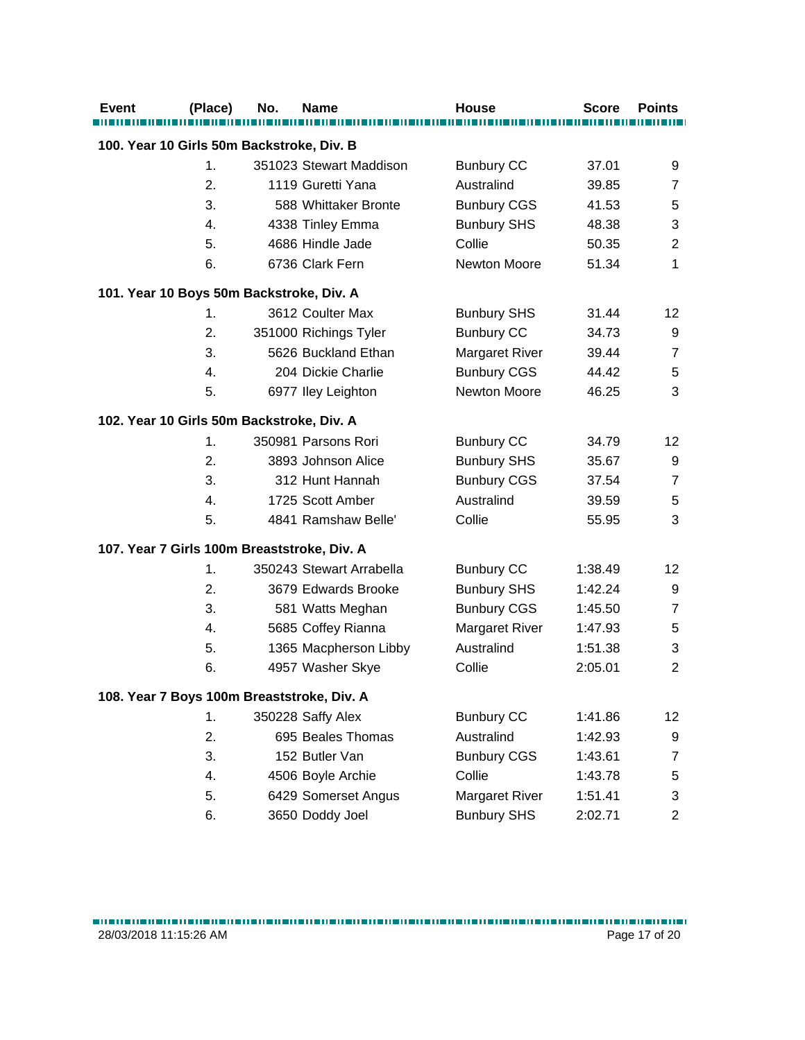| <b>Event</b>                                | (Place)        | No. | Name                     | <b>House</b>          | <b>Score</b> | <b>Points</b>     |
|---------------------------------------------|----------------|-----|--------------------------|-----------------------|--------------|-------------------|
| 100. Year 10 Girls 50m Backstroke, Div. B   |                |     |                          |                       |              |                   |
|                                             |                |     |                          |                       |              |                   |
|                                             | $\mathbf 1$ .  |     | 351023 Stewart Maddison  | <b>Bunbury CC</b>     | 37.01        | 9                 |
|                                             | 2.             |     | 1119 Guretti Yana        | Australind            | 39.85        | $\overline{7}$    |
|                                             | 3.             |     | 588 Whittaker Bronte     | <b>Bunbury CGS</b>    | 41.53        | 5                 |
|                                             | 4.             |     | 4338 Tinley Emma         | <b>Bunbury SHS</b>    | 48.38        | 3                 |
|                                             | 5.             |     | 4686 Hindle Jade         | Collie                | 50.35        | $\boldsymbol{2}$  |
|                                             | 6.             |     | 6736 Clark Fern          | <b>Newton Moore</b>   | 51.34        | $\mathbf{1}$      |
| 101. Year 10 Boys 50m Backstroke, Div. A    |                |     |                          |                       |              |                   |
|                                             | $\mathbf 1$ .  |     | 3612 Coulter Max         | <b>Bunbury SHS</b>    | 31.44        | 12                |
|                                             | 2.             |     | 351000 Richings Tyler    | <b>Bunbury CC</b>     | 34.73        | 9                 |
|                                             | 3.             |     | 5626 Buckland Ethan      | <b>Margaret River</b> | 39.44        | $\overline{7}$    |
|                                             | 4.             |     | 204 Dickie Charlie       | <b>Bunbury CGS</b>    | 44.42        | 5                 |
|                                             | 5.             |     | 6977 Iley Leighton       | Newton Moore          | 46.25        | 3                 |
| 102. Year 10 Girls 50m Backstroke, Div. A   |                |     |                          |                       |              |                   |
|                                             | $\mathbf{1}$ . |     | 350981 Parsons Rori      | <b>Bunbury CC</b>     | 34.79        | $12 \overline{ }$ |
|                                             | 2.             |     | 3893 Johnson Alice       | <b>Bunbury SHS</b>    | 35.67        | 9                 |
|                                             | 3.             |     | 312 Hunt Hannah          | <b>Bunbury CGS</b>    | 37.54        | $\overline{7}$    |
|                                             | 4.             |     | 1725 Scott Amber         | Australind            | 39.59        | 5                 |
|                                             | 5.             |     | 4841 Ramshaw Belle'      | Collie                | 55.95        | 3                 |
| 107. Year 7 Girls 100m Breaststroke, Div. A |                |     |                          |                       |              |                   |
|                                             | $\mathbf 1$ .  |     | 350243 Stewart Arrabella | <b>Bunbury CC</b>     | 1:38.49      | 12                |
|                                             | 2.             |     | 3679 Edwards Brooke      | <b>Bunbury SHS</b>    | 1:42.24      | 9                 |
|                                             | 3.             |     | 581 Watts Meghan         | <b>Bunbury CGS</b>    | 1:45.50      | $\overline{7}$    |
|                                             | 4.             |     | 5685 Coffey Rianna       | <b>Margaret River</b> | 1:47.93      | 5                 |
|                                             | 5.             |     | 1365 Macpherson Libby    | Australind            | 1:51.38      | 3                 |
|                                             | 6.             |     | 4957 Washer Skye         | Collie                | 2:05.01      | $\overline{2}$    |
| 108. Year 7 Boys 100m Breaststroke, Div. A  |                |     |                          |                       |              |                   |
|                                             | 1.             |     | 350228 Saffy Alex        | <b>Bunbury CC</b>     | 1:41.86      | 12                |
|                                             | 2.             |     | 695 Beales Thomas        | Australind            | 1:42.93      | 9                 |
|                                             | 3.             |     | 152 Butler Van           | <b>Bunbury CGS</b>    | 1:43.61      | $\overline{7}$    |
|                                             | 4.             |     | 4506 Boyle Archie        | Collie                | 1:43.78      | 5                 |
|                                             | 5.             |     | 6429 Somerset Angus      | <b>Margaret River</b> | 1:51.41      | 3                 |
|                                             | 6.             |     | 3650 Doddy Joel          | <b>Bunbury SHS</b>    | 2:02.71      | $\overline{c}$    |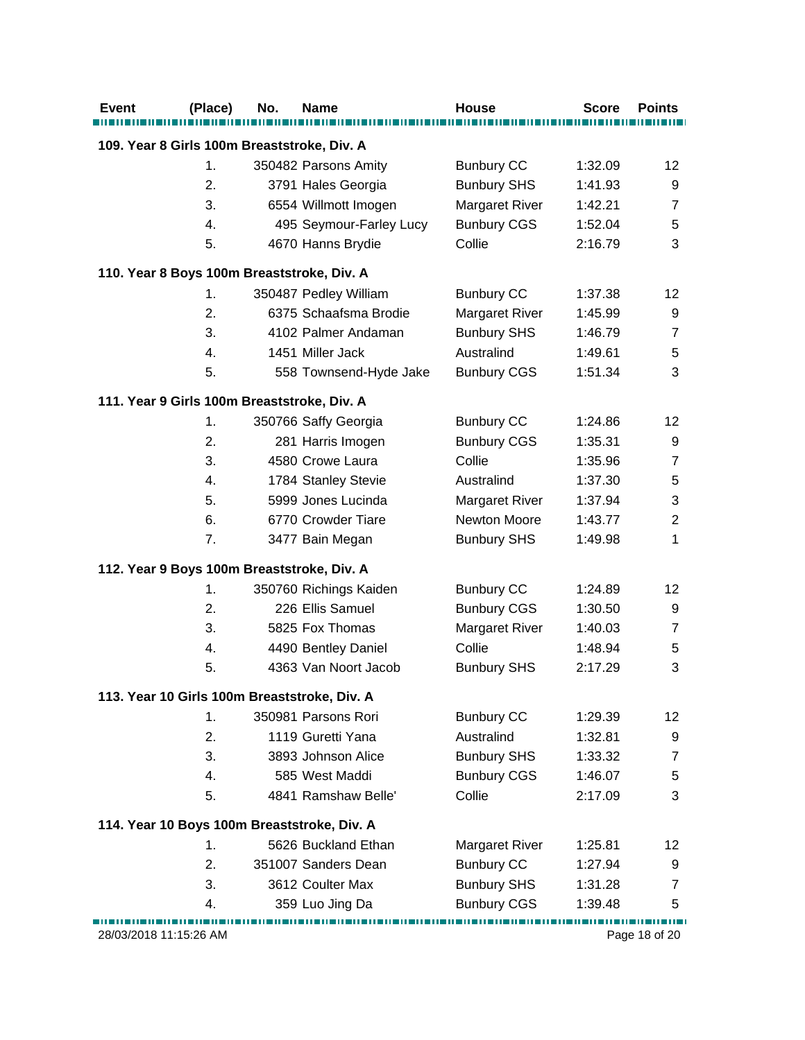| <b>Event</b>                                | (Place)       | No. | <b>Name</b>                                  | House                 | <b>Score</b> | <b>Points</b>   |
|---------------------------------------------|---------------|-----|----------------------------------------------|-----------------------|--------------|-----------------|
| 109. Year 8 Girls 100m Breaststroke, Div. A |               |     |                                              |                       |              |                 |
|                                             | 1.            |     | 350482 Parsons Amity                         | <b>Bunbury CC</b>     | 1:32.09      | 12 <sup>°</sup> |
|                                             | 2.            |     | 3791 Hales Georgia                           | <b>Bunbury SHS</b>    | 1:41.93      | 9               |
|                                             | 3.            |     | 6554 Willmott Imogen                         | <b>Margaret River</b> | 1:42.21      | $\overline{7}$  |
|                                             | 4.            |     | 495 Seymour-Farley Lucy                      | <b>Bunbury CGS</b>    | 1:52.04      | $\,$ 5 $\,$     |
|                                             | 5.            |     | 4670 Hanns Brydie                            | Collie                | 2:16.79      | 3               |
|                                             |               |     |                                              |                       |              |                 |
| 110. Year 8 Boys 100m Breaststroke, Div. A  |               |     |                                              |                       |              |                 |
|                                             | 1.            |     | 350487 Pedley William                        | <b>Bunbury CC</b>     | 1:37.38      | 12              |
|                                             | 2.            |     | 6375 Schaafsma Brodie                        | <b>Margaret River</b> | 1:45.99      | 9               |
|                                             | 3.            |     | 4102 Palmer Andaman                          | <b>Bunbury SHS</b>    | 1:46.79      | $\overline{7}$  |
|                                             | 4.            |     | 1451 Miller Jack                             | Australind            | 1:49.61      | $\,$ 5 $\,$     |
|                                             | 5.            |     | 558 Townsend-Hyde Jake                       | <b>Bunbury CGS</b>    | 1:51.34      | 3               |
| 111. Year 9 Girls 100m Breaststroke, Div. A |               |     |                                              |                       |              |                 |
|                                             | 1.            |     | 350766 Saffy Georgia                         | <b>Bunbury CC</b>     | 1:24.86      | 12              |
|                                             | 2.            |     | 281 Harris Imogen                            | <b>Bunbury CGS</b>    | 1:35.31      | 9               |
|                                             | 3.            |     | 4580 Crowe Laura                             | Collie                | 1:35.96      | $\overline{7}$  |
|                                             | 4.            |     | 1784 Stanley Stevie                          | Australind            | 1:37.30      | 5               |
|                                             | 5.            |     | 5999 Jones Lucinda                           | <b>Margaret River</b> | 1:37.94      | 3               |
|                                             | 6.            |     | 6770 Crowder Tiare                           | Newton Moore          | 1:43.77      | $\overline{2}$  |
|                                             | 7.            |     | 3477 Bain Megan                              | <b>Bunbury SHS</b>    | 1:49.98      | $\mathbf{1}$    |
| 112. Year 9 Boys 100m Breaststroke, Div. A  |               |     |                                              |                       |              |                 |
|                                             | 1.            |     | 350760 Richings Kaiden                       | <b>Bunbury CC</b>     | 1:24.89      | 12              |
|                                             | 2.            |     | 226 Ellis Samuel                             | <b>Bunbury CGS</b>    | 1:30.50      | 9               |
|                                             | 3.            |     | 5825 Fox Thomas                              | <b>Margaret River</b> | 1:40.03      | $\overline{7}$  |
|                                             | 4.            |     | 4490 Bentley Daniel                          | Collie                | 1:48.94      | 5               |
|                                             | 5.            |     | 4363 Van Noort Jacob                         | <b>Bunbury SHS</b>    | 2:17.29      | 3               |
|                                             |               |     | 113. Year 10 Girls 100m Breaststroke, Div. A |                       |              |                 |
|                                             | $\mathbf 1$ . |     | 350981 Parsons Rori                          | <b>Bunbury CC</b>     | 1:29.39      | 12 <sup>°</sup> |
|                                             | 2.            |     | 1119 Guretti Yana                            | Australind            | 1:32.81      | 9               |
|                                             | 3.            |     | 3893 Johnson Alice                           | <b>Bunbury SHS</b>    | 1:33.32      | $\overline{7}$  |
|                                             | 4.            |     | 585 West Maddi                               | <b>Bunbury CGS</b>    | 1:46.07      | 5               |
|                                             | 5.            |     | 4841 Ramshaw Belle'                          | Collie                | 2:17.09      | 3               |
|                                             |               |     |                                              |                       |              |                 |
|                                             |               |     | 114. Year 10 Boys 100m Breaststroke, Div. A  |                       |              |                 |
|                                             | $\mathbf 1$ . |     | 5626 Buckland Ethan                          | <b>Margaret River</b> | 1:25.81      | 12              |
|                                             | 2.            |     | 351007 Sanders Dean                          | <b>Bunbury CC</b>     | 1:27.94      | 9               |
|                                             | 3.            |     | 3612 Coulter Max                             | <b>Bunbury SHS</b>    | 1:31.28      | $\overline{7}$  |
|                                             | 4.            |     | 359 Luo Jing Da                              | <b>Bunbury CGS</b>    | 1:39.48      | 5               |
| 28/03/2018 11:15:26 AM                      |               |     |                                              |                       |              | Page 18 of 20   |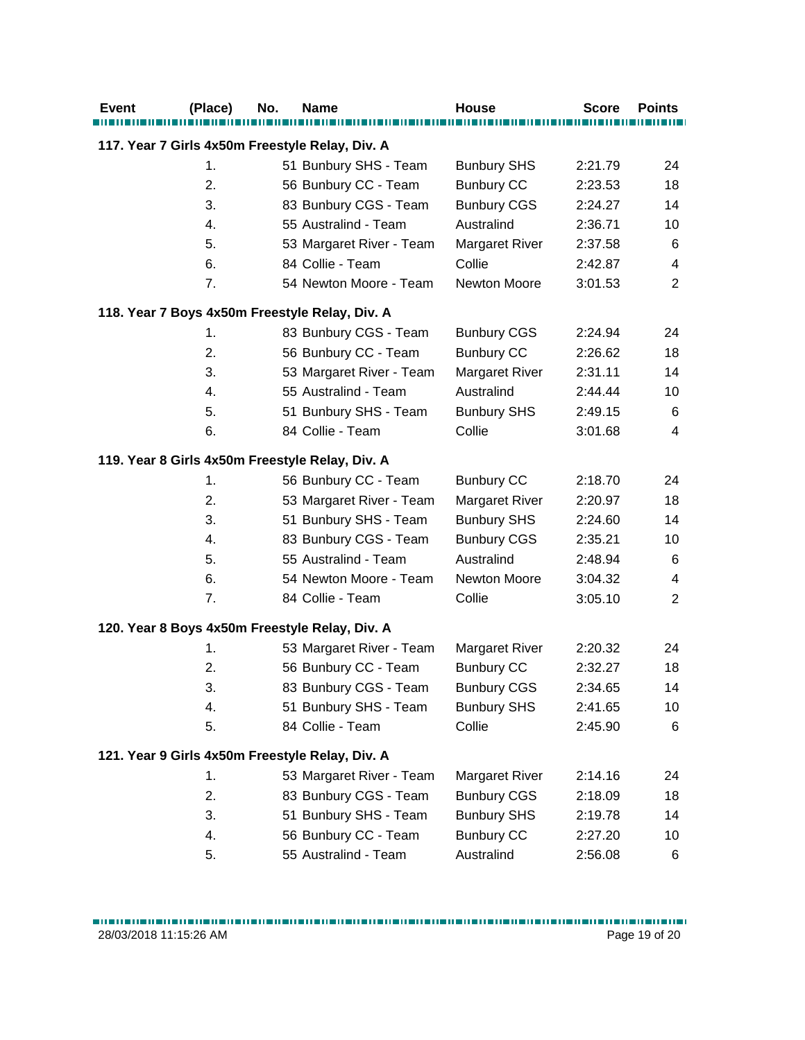| <b>Event</b> | (Place) | No. | Name                                            | <b>House</b>          | <b>Score</b> | <b>Points</b>  |
|--------------|---------|-----|-------------------------------------------------|-----------------------|--------------|----------------|
|              |         |     | 117. Year 7 Girls 4x50m Freestyle Relay, Div. A |                       |              |                |
|              | 1.      |     | 51 Bunbury SHS - Team                           | <b>Bunbury SHS</b>    | 2:21.79      | 24             |
|              | 2.      |     | 56 Bunbury CC - Team                            | <b>Bunbury CC</b>     | 2:23.53      | 18             |
|              | 3.      |     | 83 Bunbury CGS - Team                           | <b>Bunbury CGS</b>    | 2:24.27      | 14             |
|              | 4.      |     | 55 Australind - Team                            | Australind            | 2:36.71      | 10             |
|              | 5.      |     | 53 Margaret River - Team                        | <b>Margaret River</b> | 2:37.58      | 6              |
|              | 6.      |     | 84 Collie - Team                                | Collie                | 2:42.87      | 4              |
|              | 7.      |     | 54 Newton Moore - Team                          | Newton Moore          | 3:01.53      | $\overline{2}$ |
|              |         |     | 118. Year 7 Boys 4x50m Freestyle Relay, Div. A  |                       |              |                |
|              | 1.      |     | 83 Bunbury CGS - Team                           | <b>Bunbury CGS</b>    | 2:24.94      | 24             |
|              | 2.      |     | 56 Bunbury CC - Team                            | <b>Bunbury CC</b>     | 2:26.62      | 18             |
|              | 3.      |     | 53 Margaret River - Team                        | <b>Margaret River</b> | 2:31.11      | 14             |
|              | 4.      |     | 55 Australind - Team                            | Australind            | 2:44.44      | 10             |
|              | 5.      |     | 51 Bunbury SHS - Team                           | <b>Bunbury SHS</b>    | 2:49.15      | 6              |
|              | 6.      |     | 84 Collie - Team                                | Collie                | 3:01.68      | 4              |
|              |         |     | 119. Year 8 Girls 4x50m Freestyle Relay, Div. A |                       |              |                |
|              | 1.      |     | 56 Bunbury CC - Team                            | <b>Bunbury CC</b>     | 2:18.70      | 24             |
|              | 2.      |     | 53 Margaret River - Team                        | Margaret River        | 2:20.97      | 18             |
|              | 3.      |     | 51 Bunbury SHS - Team                           | <b>Bunbury SHS</b>    | 2:24.60      | 14             |
|              | 4.      |     | 83 Bunbury CGS - Team                           | <b>Bunbury CGS</b>    | 2:35.21      | 10             |
|              | 5.      |     | 55 Australind - Team                            | Australind            | 2:48.94      | 6              |
|              | 6.      |     | 54 Newton Moore - Team                          | Newton Moore          | 3:04.32      | 4              |
|              | 7.      |     | 84 Collie - Team                                | Collie                | 3:05.10      | $\overline{2}$ |
|              |         |     | 120. Year 8 Boys 4x50m Freestyle Relay, Div. A  |                       |              |                |
|              | 1.      |     | 53 Margaret River - Team                        | <b>Margaret River</b> | 2:20.32      | 24             |
|              | 2.      |     | 56 Bunbury CC - Team                            | <b>Bunbury CC</b>     | 2:32.27      | 18             |
|              | 3.      |     | 83 Bunbury CGS - Team                           | <b>Bunbury CGS</b>    | 2:34.65      | 14             |
|              | 4.      |     | 51 Bunbury SHS - Team                           | <b>Bunbury SHS</b>    | 2:41.65      | 10             |
|              | 5.      |     | 84 Collie - Team                                | Collie                | 2:45.90      | 6              |
|              |         |     | 121. Year 9 Girls 4x50m Freestyle Relay, Div. A |                       |              |                |
|              | 1.      |     | 53 Margaret River - Team                        | <b>Margaret River</b> | 2:14.16      | 24             |
|              | 2.      |     | 83 Bunbury CGS - Team                           | <b>Bunbury CGS</b>    | 2:18.09      | 18             |
|              | 3.      |     | 51 Bunbury SHS - Team                           | <b>Bunbury SHS</b>    | 2:19.78      | 14             |
|              | 4.      |     | 56 Bunbury CC - Team                            | <b>Bunbury CC</b>     | 2:27.20      | 10             |
|              | 5.      |     | 55 Australind - Team                            | Australind            | 2:56.08      | 6              |